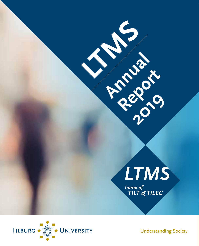

**LTMS**

**Annual River** 

**Report** 

2X 19



**Understanding Society**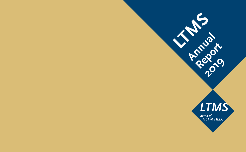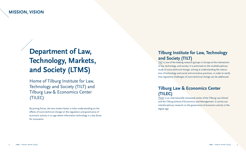# <span id="page-2-0"></span>**Department of Law, Technology, Markets, and Society (LTMS)**

Home of Tilburg Institute for Law, Technology and Society (TILT) and Tilburg Law & Economics Center (TILEC)

By joining forces, the two centers foster a richer understanding on the effects of socio-technical change on the regulation and governance of economic activity in an age where information technology is a key driver for innovation.

## **Tilburg Institute for Law, Technology and Society (TILT)**

TILT is one of the leading research groups in Europe at the intersection of law, technology, and society. It is premised on the multidisciplinary study of socio-technical change, aiming at understanding the interaction of technology and social and normative practices, in order to clarify how regulatory challenges of socio-technical change can be addressed.

## **Tilburg Law & Economics Center (TILEC)**

TILEC is an internationally renowned center of the Tilburg Law School and the Tilburg School of Economics and Management. It carries out interdisciplinary research on the governance of economic activity in the digital age.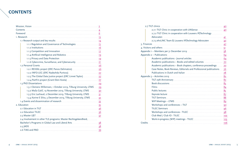## **CONTENTS**

|                                                                                                 | $\overline{2}$ |
|-------------------------------------------------------------------------------------------------|----------------|
| Contents 4                                                                                      |                |
|                                                                                                 |                |
| 1. Research 13                                                                                  |                |
| 1.1 Research output and key results <b>Commission Contract and August</b> 14                    |                |
|                                                                                                 |                |
|                                                                                                 |                |
| 1.1.3 Competition and Innovation <b>Manual According to 12</b>                                  |                |
|                                                                                                 |                |
|                                                                                                 |                |
| 1.1.6 Cybercrime, Surveillance, and Cybersecurity <b>Markon and Cybersecurity</b>               |                |
|                                                                                                 |                |
|                                                                                                 |                |
|                                                                                                 |                |
|                                                                                                 |                |
| 1.2.4 PartFin project (Grant Eleni Kosta) <b>Martin Access 21</b> 27                            |                |
| 1.3 PhD Dissertations 29                                                                        |                |
| 1.3.1 Clemens Willemsen, 1 October 2019, Tilburg University, LTMS 29                            |                |
| 1.3.2 Maša Galič, 19 November 2019, Tilburg University, LTMS  30                                |                |
| 1.3.3 Eric Lachaud, 2 December 2019, Tilburg University, LTMS  31                               |                |
| 1.3.4 Karine E Silva, 3 December 2019, Tilburg University, LTMS  32                             |                |
| 1.4 Events and dissemination of research <b>Constanting and Street and Street and Street</b> 33 |                |
|                                                                                                 |                |
|                                                                                                 |                |
| 2.2 Education TILEC 36                                                                          |                |
|                                                                                                 |                |
| 2.4 Involvement in other TLS programs: Master Rechtsgeleerdheid,                                |                |
|                                                                                                 |                |
|                                                                                                 |                |
|                                                                                                 |                |

| 2.7.1 TILT Clinic in cooperation with UNSense <b>Manual Strategy and August</b> 20                                                                                                                                                   |     |
|--------------------------------------------------------------------------------------------------------------------------------------------------------------------------------------------------------------------------------------|-----|
| 2.7.2 TILT Clinic in cooperation with Louwers IP Technology                                                                                                                                                                          |     |
| Advocaten 31 41                                                                                                                                                                                                                      |     |
|                                                                                                                                                                                                                                      |     |
|                                                                                                                                                                                                                                      |     |
| 4. Visitors and others <b>Constanting the Constantine Constantine Constantine Constantine Constantine Constantine Constantine Constantine Constantine Constantine Constantine Constantine Constantine Constantine Constantine Co</b> |     |
|                                                                                                                                                                                                                                      |     |
| Appendix 2 – Publications <b>COVERTING ACCORDING A</b>                                                                                                                                                                               |     |
| Academic publications - Journal articles <b>Manual Academic Dividends</b> 64                                                                                                                                                         |     |
| Academic publications - Books and edited volumes <b>Manual</b> 20                                                                                                                                                                    |     |
|                                                                                                                                                                                                                                      |     |
| Case Notes, Book Reviews, Editorials and Professional publications 76                                                                                                                                                                |     |
| Publications in Dutch and Italian <b>Manual According to the UL</b> 78                                                                                                                                                               |     |
|                                                                                                                                                                                                                                      |     |
| TILT 25th Anniversary <u>[</u> [11] 25th Anniversary <b>[21]</b> 25th Anniversary <b>[22]</b>                                                                                                                                        |     |
|                                                                                                                                                                                                                                      |     |
| Films <u>SA</u>                                                                                                                                                                                                                      |     |
| Public lectures <b>Executive Strategie and Strategie and Strategie and Strategie and Strategie and Strategie and Strategie and Strategie and Strategie and Strategie and Strategie and Strategie and Strategie and Strategie and</b> |     |
| Keynote lecture <b>Example 2018</b> 87                                                                                                                                                                                               |     |
| TILT Seminars 288                                                                                                                                                                                                                    |     |
| WIP Meetings - LTMS <u>Communications</u> and the settlement of the settlement of the settlement of the settlement of the settlement of the settlement of the settlement of the settlement of the settlement of the settlement of t  |     |
| Workshops and conferences - TILT <b>CONSERVERTIES</b> 20                                                                                                                                                                             |     |
| TILEC Seminars <b>Manual According to the Contract of the Seminary 36</b>                                                                                                                                                            |     |
| Workshops and conferences - TILEC <b>Manual According to the ULEC</b> 98                                                                                                                                                             |     |
| Club Med / Club IO - TILEC <u>[100]</u> TILEC 2000 102                                                                                                                                                                               |     |
| Work-in-progress (WIP) meetings - TILEC <b>Manual Accord 2018</b> 103                                                                                                                                                                |     |
| Credits                                                                                                                                                                                                                              | 106 |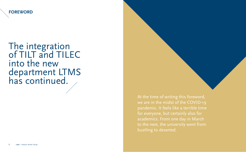<span id="page-4-0"></span>**FOREWORD**

# The integration of TILT and TILEC into the new department LTMS has continued.

At the time of writing this foreword, we are in the midst of the COVID-19 pandemic. It feels like a terrible time for everyone, but certainly also for academics. From one day in March to the next, the university went from bustling to deserted.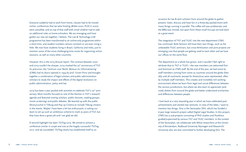Everyone suddenly had to work from home, classes had to be moved online, conferences that we were hosting (Bileta 2020, PLSC-E 2020) were cancelled, and on top of that staff with small children had to take on additional roles as home-schoolers. We are managing and have gotten our new act together, I believe. The Law & Technology LLM programme has been transformed to an online-only programme within a short time, and student numbers remain constant or are even rising a little. We now have students living in Brazil, California and India, just to mention some of the more challenging time zones for organizing online sessions, as well as many other countries.

However, this is the 2019 Annual report. The contrast between 2020 and 2019 couldn't be sharper. 2019 marked the  $25<sup>th</sup>$  anniversary of TILT. Its precursor, the 'Centrum voor Recht, Bestuur en Informatisering' (CRBI) had its doors opened in 1994 by prof. Corien Prins and brought together a combination of legal scholars and public administration scholars to study the impact and effects of the digital revolution on public administration, policy and law.

2019 has been a year packed with activities to celebrate TILT's 25th anniversary. Most months focused on one of the themes in TILT's research agenda and featured visiting scholars, public lectures, reading groups, movie screenings and public debates. We teamed up with the public library/Lochal in Tilburg and Pop up Cinema to include Tilburg citizens in the events. Maybe I have been a bit too enthusiastic in asking our team to set up such an ambitious scheme to mark 25 years of TILT, but they have done a great job and I am glad we did.

A second highlight has been *TILTing* 2019. We aimed to achieve a conference similar in scope and size as the hugely successful *TILTing* 2017, and we succeeded. *TILTing* clearly has established itself as an

occasion for law & tech scholars from around the globe to gather, present, listen, discuss and have fun in a three-day packed event with many things running in parallel. The coffee still was problematic and the BBQ was missed, but apart from these small hiccups we look back at a great event.

The integration of TILT and TILEC into the new department LTMS has continued. Both factions still have their own things, such as the unbeatable TILEC seminars, but cross-fertilization and joint projects are emerging now that people are getting used to each other and we have our offices on the same floor.

The department as a whole has grown, and it wouldn't feel right to attribute that to TILT or TILEC—the new members are welcomed first and foremost as LTMS staff. By the end of the year, we had some 65 staff members coming from some 25 countries around the globe (literally) and all continents (except for Antarctica) were represented, often by multiple staff members. This creates and incredibly rich working environment where we learn from legal and social differences between the various jurisdictions, but where we also learn to appreciate (and cook) dishes from around the globe and better understand similarities and differences between people.

I look back at a very rewarding year in which we have celebrated past achievements and started new ventures. In view of the latter, I want to mention two things. One is the Sectorplan SSH, which has funded a 6-year large research project called Digital Legal Studies. In this project, LTMS has 9 sub-projects consisting of PhD studies and PostDocs guided/supervised by various TILT and TILEC members. In the context of the Sectorplan, we collaborate with fellow researchers at the University of Amsterdam, Radboud University Nijmegen and Maastricht University who are also committed to further developing DLS. The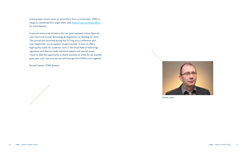entire project covers some 50 researchers from 4 universities. LTMS is happy to coordinate this larger effort (see https://www.sectorplandls.nl for more details).

A second venture we started is the new peer-reviewed online Open-Access Diamond journal Technology & Regulation, or TechReg for short. The journal was launched during the TILTing 2019 conference and now (September 2020) appears to gain traction. It aims to offer a high-quality outlet for academic work in the broad field of technology regulation and features both individual papers and special issues. I want to take the opportunity to thank everyone at LTMS for yet another great year, and I am sure we can pull through the COVID crisis together.

Ronald Leenes, LTMS director



*Ronald Leenes*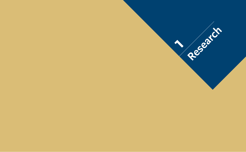<span id="page-7-0"></span>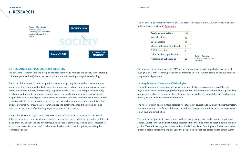## <span id="page-8-0"></span>**1. RESEARCH**



#### **1.1 RESEARCH OUTPUT AND KEY RESULTS**

In 2019 LTMS' research took the interplay between technology, markets and society as the starting point to explore and (co-)shape the role of law in a world increasingly shaped by technology.

The basis of this research is the recognition that technology, regulation, and normative notions interact, i.e. they continuously adapt to new technological, regulatory, and/or normative environments, and in this process, they mutually shape one another. The 'LTMS triangle' of technology, regulation, and normative notions is studied against the background of society, to incorporate insights into human and organizational behavior, markets, social mechanisms and norms, and the context-specificity of certain sectors in society, such as health, commerce, public administration, or law enforcement. Through our research, we hope to better understand the mutual shaping —or co-construction— of technology, regulation, norms, and society.

It goes almost without saying that LTMS' research is multidisciplinary. Regulation consists of different modalities – law, social norms, market, and architecture – which are grounded in different disciplines: law, social sciences, economics, and science & technology studies. LTMS' researchers incorporate these disciplines and collaborate with scholars in other disciplines, including the technical sciences.

Table 1 offers a quantitative overview of LTMS' research output in 2019. A full overview of all LTMS publications is provided in [Appendix 2](#page-33-0).

| <b>Academic publications</b>     | 107 |
|----------------------------------|-----|
| Journal articles                 | 49  |
| <b>Book chapters</b>             | 39  |
| Monographs and edited books      | 4   |
| PhD dissertations                | 4   |
| Other academic publications      | 11  |
| <b>Professional publications</b> | 34  |

*Table 1: Overview of research output by LTMS members*

To showcase the achievements of LTMS' research in 2019, we provide a qualitative overview of highlights of LTMS' research, grouped in six thematic clusters. Further details on the publications are provided Appendix 2.

#### **1.1.1 Regulation and Governance of Technologies**

The understanding of concepts such as trust, responsibility and acceptance is pivotal in the regulation of novel and emerging technologies and the implementation thereof. This is particularly true where regulated technologies have the potential to significantly impact domains such as data privacy, health, and environmental protection.

The role of trust in governing technologies was studied in several publications by **Esther Keymolen**. She examined the issue from a philosophical and legal perspective and focused on amongst others smart toys and smart cities.

The topic of "responsibility" was researched from many perspectives and in various application spaces. **Linnet Taylor** and **Nadya Purtova** researched the meaning of the concept in relation to data justice. **Tineke Broer** (together with Anne Kerr, Emily Ross, Sarah Cunningham Burley) approached it from a health perspective and analysed the polygenic risk-stratified screening for cancer. **Aaron**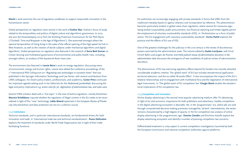#### <span id="page-9-0"></span>**1 research ltms 1 research ltms**

**Martin**'s work examines the use of regulatory sandboxes to support responsible innovation in the humanitarian sector.

Global perspectives on regulation were central in the work of **Eveline Wan**. Eveline's focus of study related to the temporalities and politics of digital culture and algorithmic governance. In 2019 she won the Dissertatieprijs 2019 from De Stichting Praemium Erasmianum for her PhD thesis ("Clocked!: Time and Biopower in the Age of Algorithms"). She examined amongst others the spectral temporalities of Hong Kong in the wake of the official opening of the high-speed rail link in West Kowloon, as well as the creation of docile subjects under mechanical algorithms and digital algorithms. Global perspectives on regulation also featured in the research of **Anna Berti Suman** on Citizen Sensing and multilateral governance of environmental and public-health risks, including, amongst others, an analysis of the Equatorial Asian haze case.

The environment also featured in **Leonie Reins**'s work on energy regulation, discussing nexus of environment, energy and human rights. Leonie also edited the conference proceedings of the 1st International PhD Colloquium on "Regulating new technologies in uncertain times" that was published in the Springer Information Technology and Law Series, with several contributions from LTMS colleagues. For Dutch policy-makers, professionals, and academics, **Corien Prins** continued her important agenda-setting work in her Editorials for the *Nederlands Juristenblad*, discussing the legal and policy implications *e.g. action rules for 5G, digitization of administrative law, and cyber wars.* 

Several LTMS scholars dealt with a "hot topic" in the area of techno-regulation, namely blockchain. **Maurice Schellekens** inquired whether the regulation of illegal content in the EU needs to be reconsidered in light of this "new" technology. **Lokke Moerel** explained in the *European Review of Private Law* why blockchain and data protection are not on a collision course.

#### **1.1.2 Institutions**

Technical standards, and in particular international standards, are fundamental drivers for both innovation and trade. In 'International trade law and technical standardization', **Panos Delimatsis** explains the treatment of standards under World Trade Organization law in light of their trade facilitating functions.

EU authorities are increasingly engaging with private standards in forms that differ from the traditional interplay based on agency relations and incorporation by reference. This phenomenon becomes particularly evident in global value chain regulation, where several EU measures regulating biofuel sustainability, public procurement, non-financial reporting and timber legality permit the employment of voluntary sustainability standards (VSS). In 'Orchestration as a form of public action: The EU engagement with voluntary sustainability standards', **Enrico Partiti** explores the practice and the effects of EU use of VSS.

One of the greatest challenges for the judiciary in the 21st century is the review of discretionary powers exercised by the administrative state. The volume edited by **Saskia Lavrijssen**, with Ernst Hirsch Ballin and Jurgen de Poorter and titled *Judicial review of administrative discretion in the administrative state* discusses the emergence of new modalities of judicial review of administrative discretion.

The phenomenon of EU law exercising regulatory effects beyond EU borders has recently attracted considerable academic interest. The 'global reach' of EU law includes extraterritorial application, territorial extension, and the so-called 'Brussels Effect'. It also encompasses the impact of the EU's bilateral relationships and its engagement with multilateral fora and the negotiation of international legal instruments. In 'The global reach of EU competition law' **Giorgio Monti** studies the extraterritorial implications of EU competition law.

#### **1.1.3 Competition and Innovation**

Online display advertising is the second most popular advertising medium after TV advertising. In light of its vital economic importance for both publishers and advertisers, healthy competition in the digital advertising ecosystem is desirable. Yet, in the 'programmatic' era, where ads are sold through computerized decision-making processes managed by 'ad tech' intermediaries, the sector remains characterized by a high degree of opacity. In 'An EU competition law analysis of online display advertising in the programmatic age', **Damien Geradin** and Dimitrios Katsifis explore the display advertising ecosystem and identify a number of pressing competition law concerns.

Differentiated treatment is a key aspect in current competition investigations launched by both the European Commission and national competition authorities against platforms.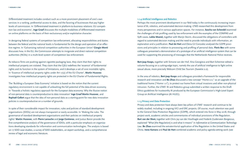<span id="page-10-0"></span>Differentiated treatment includes conduct such as a more prominent placement of one's own services in a ranking, preferential access to data, and the favoring of businesses that pay higher levels of commission. In 'Differentiated treatment in platform-to-business relations: EU competition law and economic', **Inge Graef** discusses the multiple modalities of differentiated treatment on online platforms on the basis of their exclusionary and/or exploitative character.

In designing federal systems of competition law enforcement, allocating responsibilities and duties between the federal and the national levels is fundamental for the design and operation of an effective regime. In 'Galvanizing national competition authorities in the European Union' **Giorgio Monti** discusses how, in the EU, the Commission attempts to invigorate and direct national competition authorities (NCAs) in a multi-level system of competition law enforcement.

As tobacco firms are pushing against cigarette packaging laws, they claim that their rights to intellectual property are violated. They claim that the CJEU redefines the 'essence' of fundamental rights and its function in the system of limitations, and it develops a set of core inviolable rights. In 'Essence of intellectual property rights under Art 17(2) of the EU Charter', **Martin Husovec** investigates how intellectual property rights are protected in the EU Charter of Fundamental Rights.

The 'Building a European Data Economy' initiative is based on the notion that the current regulatory environment is not capable of unleashing the full potential of the data-driven economy. In 'Towards a holistic regulatory approach for the European data economy: Why the illusive notion of non-personal data is counterproductive to data innovation' **Inge Graef Martin Husovec**, and **Raphaël Gellert** argue that the idea of non-personal data as a starting-point for new data innovation policies is counterproductive on a number of grounds.

In spite of their considerable impact for innovation, rules and policies of standard development organizations (SDOs) are not always transparent or easily accessible. In 'Making the rules. The governance of standard development organizations and their policies on intellectual property rights' **Martin Husovec**, with **Pierre Larouche** and **Jorge Contreras**, and Justus Baron provide the first comprehensive analysis of the governance of SDOs, with a particular emphasis on organizations developing standards for information and communication technologies. The analysis is based on 17 SDO case studies, a survey of SDO stakeholders, an expert workshop, and a comprehensive review of legal and economic literature.

#### **1.1.4 Artificial Intelligence and Robotics**

Perhaps the most prominent development in our field today is the continuously increasing importance of AI, robotics, and automated decision-making. LTMS researched this development from many perspectives and in various application spaces. For instance, **Sascha van Schendel** examined the challenges of risk profiling used by law enforcement with the examples of the COMPAS and SyRI cases**. Lokke Moerel,** together with Marijn Storm, discussed the obligations of controllers with regard to automated decision making and the need to provide individuals with information, an explanation and a justification. **Paul de Hert** and Elena Gil Gonzalez analysed the GDPR provisions and principles in relation to processing and profiling of personal data. **Floris Bex** with some colleagues presented a demonstration of a prototype of an artificial intelligence system that can be used for supporting the processing of messages that the Netherlands National Police receives.

**Bert-Jaap Koops,** together with Simone van der Hof, Ilina Georgieva and Bart Schermer edited a volume focusing on a cutting-edge topic, namely the use of artificial intelligence to fight online sexual abuse, more precisely Webcam Child Sex Tourism (Sweetie 2.0).

In the area of robotics, **Bert-Jaap Koops** and colleagues provided a framework for responsible research and innovation and **Bo Zhao** discussed a new concept "Home 2.0," as an upgrade of the traditional home ("Home 1.0"), to protect our home from virtual invasions and other non-physical intrusion. Further, the LTMS' AI and Robotics group submitted a written response to the Draft Ethics guidelines for trustworthy AI produced by the European Commission's High-Level Expert Group on Artificial Intelligence (AI HLEG).

#### **1.1.5 Privacy and Data Protection**

Privacy and data protection have always been key pillars of LTMS' research and continue to be widely studied, including in ongoing VICI and ERC projects. Of course, much attention was paid to the General Data Protection Regulation (GDPR), which entered into force in May 2018, through project work, academic articles and commentaries of individual provisions of the Regulation. **Bart van der Sloot,** together with Chris Jay van der Hoofnagle and Frederik Zuiderveen Borgesius, explained "What [the Regulation] is and what it means" in *Information & Communication Technology Law*. **Bo Zhao** examined the extraterritorial application of the Regulation in the United States and China. **Irene Kamara** and **Paul de Hert** combined academic and policy agenda-setting work (see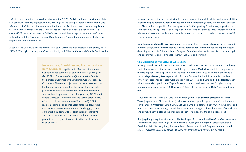<span id="page-11-0"></span>box) with commentaries on several provisions of the GDPR. **Paul de Hert** together with Juraj Sajfert discussed two scenarios of post-GDPR law-making and the actor perspective. **Eric Lachaud,** who defended his PhD Dissertation on the contribution of certification to data protection regulation, also studied the adherence to the GDPR's codes of conduct as a possible option for SMEs to ensure GDPR certification. **Lorenzo Dalla Corte** examined the concept of "personal data" in his contribution entitled "Scoping Personal Data: Towards a Nuanced Interpretation of the Material Scope of EU Data Protecton Law'".

Of course, the GDPR was not the only focus of study within the data protection and privacy cluster of LTMS. "The right to be forgotten" was studied by both **Silvia de Conca** and **Claudia Quelle,** with a

> **Irene Kamara, Ronald Leenes, Eric Lachaud and Kees Stuurman**, together with Marc Van Lieshout and Gabriella Bodea carried out a study on *Articles 42 and 43 of the GDPR on Data protection certification mechanisms* for the European Commission's Directorate General Justice & Consumers. The overall objective of this study was to assist the Commission in supporting the establishment of data protection certification mechanisms and data protection seals and marks pursuant to Articles 42 and 43 GDPR and to collect all relevant information for the Commission in view of the possible implementation of Article 43(8) GDPR on the requirements to be taken into account for the data protection certification mechanisms and of Article 43(9) GDPR on the technical standards for certification mechanisms and data protection seals and marks, and mechanisms to promote and recognise those certification mechanisms, seals and marks.

focus on the balancing exercise with the freedom of information and the duties and responsibilities of search engine operators. **Ronald Leenes** and **Arnout Terpstra** together with Alexander Schouten and Alwin de Rooij argued in "*Improving privacy choice through design*" that privacy regulation must shift from a purely legal debate and simple one-time yes/no decisions by 'data subjects' to public (debate and) awareness and continuous reflection on privacy and privacy decisions by users of IT systems and services.

**Eleni Kosta** and **Magda Brewczyńska** studied government access to user data and the way towards more meaningful transparency reports. Further, **Bart van der Sloot** continued his important agenda-setting work in his Editorials for the *European Data Protection Law Review*, discussing the legal and policy implications of amongst others AI, Big Data and profiling.

#### **1.1.6 Cybercrime, Surveillance, and Cybersecurity**

In 2019 surveillance and cybersecurity remained a well-researched area of law within LTMS, being studied from various different angels and disciplines. **Aaron Martin** has studied cyber governance, the role of public- private partnerships and mobile money platform surveillance in the financial sector. **Magda Brewczyńska** together with Suzanne Dunn and Avihai Elijahu studied the data privacy laws response to ransomware attacks in the EU, Israel and Canada. **Paul de Hert** together with Dimitra Markopoulou and Vagelis Papakonstantinou evaluated the new EU cybersecurity framework, consisting of the NIS Directive, ENISA's role and the General Data Protection Regulation.

Surveillance in the "smart city" was studied amongst others by **Shazade Jameson** and **Linnet Taylor** (together with Christine Richter), who have analyzed people's perception of datafication and surveillance in Amsterdam Smart City. **Maša Galič**, who also defended her PhD on surveillance and privacy in smart cities in 2019, studied the Stratumseind Living Lab through the lens of surveillance and privacy theory, exploring the implications both for privacy and the public space itself.

**Bert-Jaap Koops,** together with former LTMS colleague Bryce Newell and **Ivan Skorvánek** compared current surveillance technologies used in criminal investigation in eight jurisdictions: Canada, Czech Republic, Germany, Italy, the Netherlands, Poland, the United Kingdom, and the United States. ("*Location tracking by police: The regulation of "tireless and absolute surveillance*").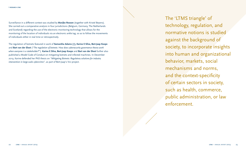Surveillance in a different context was studied by **Marijke Roosen** (together with Kristel Beyens). She carried out a comparative analysis in four jurisdictions (Belgium, Germany, The Netherlands and Scotland) regarding the use of the electronic monitoring technology that allows for the monitoring of the location of individuals via an electronic ankle tag, so as to follow the movements of individuals either in real time or retrospectively.

The regulation of botnets featured in work of **Samantha Adams (†), Karine E Silva, Bert-Jaap Koops** and **Bart van der Sloot** ("*The regulation of botnets: How does cybersecurity governance theory work when everyone is a stakeholder?*"). **Karine E Silva, Bert-Jaap Koops** and **Bart van der Sloot** further also published a Model Code of Conduct on mitigating botnets and infected machines. In December 2019, Karine defended her PhD thesis on *"Mitigating Botnets: Regulatory solutions for industry intervention in large-scale cybercrime",* as part of Bert-Jaap's Vici project.

The 'LTMS triangle' of technology, regulation, and normative notions is studied against the background of society, to incorporate insights into human and organizational behavior, markets, social mechanisms and norms, and the context-specificity of certain sectors in society, such as health, commerce, public administration, or law enforcement.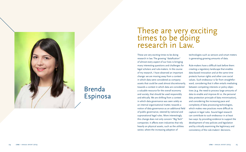

## Brenda Espinosa

## These are very exciting times to be doing research in Law.

These are very exciting times to be doing research in law. The growing "datafication" of almost every aspect of our lives is bringing many interesting questions and challenges for legal scholars and rule-makers. In the course of my research, I have observed an important change: we are moving away from a context in which data were considered as company assets that could be used almost discretionarily, towards a context in which data are considered a valuable resource for the overall economy and society, that should be used responsibly and ethically. We are shifting from a context in which data governance was seen solely as an internal organisational matter, towards a notion of data governance as an additional field of public governance, steered by national and supranational legal rules. More interestingly, this change does not only concern "Big Tech" companies: it affects even industries that rely heavily on physical assets, such as the utilities sector, where the increasing adoption of

technologies such as sensors and smart meters is generating growing amounts of data.

Rule-makers have a difficult task before them: creating a regulatory landscape that enables data-based innovation and at the same time protects human rights and other core social values. Such endeavour is far from straightfor ward, considering that it often entails mediating between competing interests or policy objec tives (e.g. the need to process large amounts of data to enable and improve AI vs. the personal data protection principle of data minimisation), and considering the increasing pace and complexity of data processing technologies, which makes new practices more difficult to capture in legal rules. Sound legal research can contribute to such endeavour in at least two ways: by providing evidence to support the development of new policies and legislation and by critically examining the legitimacy and consistency of the rule-makers' decisions.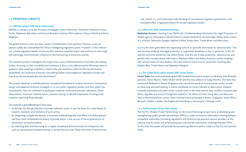#### <span id="page-14-0"></span>**1.2 PERSONAL GRANTS**

#### **1.2.1 REVEAL project (ERC Panos Delimatsis)**

REVEAL is carried out by the Principal Investigator, Panos Delimatsis, Assistant Professors Enrico Partiti, Stéphanie Bijlmakers and Konrad Borowicz and two PhD-students, Shanya Ruhela and Zuno Verghese.

The global financial crisis put basic tenets of neoliberalism into question. Previous crises on product safety also exemplified the limits of delegating regulatory power. However, in the medium run, private regulatory bodies re-assume their previous powerful status and continue to exert large, and seemingly unconstrained, influence on the functioning of economic activity.

This research project investigates the origins and causes of the dominance of private rule-making bodies, focusing on their mutability and resilience. It does so by addressing the following research question: what enabling conditions, innate traits and mechanics allow for the transformation, adaptability and resilience of private rule-making bodies amid exogenous regulatory shocks and how does the law perpetuates this dominance?

This project develops a multidisciplinary conceptual framework to analyse structures, institutional design and adaptive/resilience strategies in 10 non-public regulatory bodies and their public law counterparts. Data are collected via qualitative methods (interviews with key individuals, direct observations, historical institutionalism, process tracing) to identify trajectories of change and causation spanning three decades.

#### *This research is groundbreaking in three ways:*

- by delving into the peculiarities of private collective action, it sets the basis for a new theory of creation, evolution and resilience of such action;
- by integrating multiple disciplines, it innovates methodologically and offers a multidisciplinary and thus more comprehensive theory of private action in the service of future generations of researchers and policymakers;
- by collecting data and theorizing on a largely unexplored (from an empirical viewpoint) area such as transnational standard-setting, it revisits the promises, flaws and limits of technocratic

rule, results in a more balanced understanding of transnational regulatory governance, and resolutely offers a regulatory theory for private regulatory bodies.

#### **1.2.2 INFO-LEG (ERC Nadezhda Purtova)**

**Nadezhda Purtova**'s Starting Grant INFO-LEG ('Understanding Information for Legal Protection of People against Information-Induced Harms') project entered its second stage. Nadya leads a team of 5 scholars: Sebastian Dengler, Raphael Gellert, Evelyn Wan, Tineke Broer and Mara Paun.

In 2019 the team generated new organising notions as possible alternatives to 'personal data'. This was done by studying how legal protection is 'organised' elsewhere in law, in particular, in the EU and US consumer protection law (Mara Paun), how the law of data protection, cybersecurity, and genetic data conceptualises information (Raphael Gellert and Nadya Purtova), and by studying, inter alia by means of case studies, the socio-techical and economic processes involving data (Evelyn Wan, Tineke Broer, and Sebastian Dengler).

#### **1.2.3 The Global Data Justice project (ERC Linnet Taylor)**

**Linnet Taylor** has continued leading the ERC-funded Data Justice project (2018-2023) with Shazade Jameson, Aaron Martin, Helen Mukiri-Smith and the new addition of Gargi Sharma. The team has conducted fieldwork in Kenya, Singapore and around the world on humanitarian action, as well as observing and participating in events worldwide on issues relevant to data justice. Outputs currently published and under review include work on the international data market; corporate data ethics, big data as a source of migration statistics, the ethics of urban living labs, and data practices in the humanitarian sector. Team members have presented in Kenya, Singapore, South Africa, Brussels, Oxford, London, the Hague and Hamburg on the project's findings so far.

#### **1.2.4 PartFin project (Grant Eleni Kosta)**

The ParTFin (Public Private Partnerships on Terrorism Financing) project aims at developing and strengthening public-private partnerships (PPPs) in order to enhance information sharing between competent authorities (including regulators) and financial and payment service providers at the national and EU levels and at facilitating the cross-border information exchange between PPPs. To this end, the project will provide best-practice guidance to policy makers at the EU and national levels.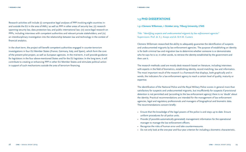<span id="page-15-0"></span>Research activities will include (i) comparative legal analyses of PPP involving eight countries inand outside the EU in the area of AML/ as well as PPP in other areas of security law; (ii) research spanning security law, data protection law, and public international law; (iii) socio-legal research on PPPs, including interviews with competent authorities and relevant private stakeholders; and (iv) an interdisciplinary investigation into the relationship between law and technology in the context of financial analytics.

In the short term, the project will benefit competent authorities engaged in counter-terrorism investigations in four EU Member States (France, Germany, Italy, and Spain), which form the core of the present pilot project, as well as European agencies. In the mid-term, it will provide guidance for legislators in the four above-mentioned States and for the EU legislator. In the long term, it will contribute to creating or enhancing PPP in other EU Member States and stimulate political action in support of such mechanisms outside the area of terrorism financing.

#### **1.3 PHD DISSERTATIONS**

#### **1.3.1 Clemens Willemsen, 1 October 2019, Tilburg University, LTMS**

*Title: "Identifying suspects and undocumented migrants by law enforcement agencies"* Supervisors: Prof. dr. E.J. Koops and dr. B.H.M. Custers

Clemens Willemsen researched the ability to adequately guarantee the identification of suspects and undocumented migrants by law enforcement agencies. The purpose of establishing an identity is for both criminal law and migration law to determine whether someone is or demonstrates who he says he is or, in other words, to retrieve the identity established by the government and then use it.

The research methods used are mostly desk research based on literature, including interviews with experts in the field of biometrics, establishing identity, record matching, law and informatics. The most important result of the research is a framework that displays, both graphically and in words, the indicators for a law enforcement agency to reach a certain level of quality, maturity or expertise.

The identification of the National Police and the Royal Military Police scores in general more than satisfactory for suspects and undocumented migrants, but insufficiently for suspects if provisional detention is not permitted and (according to the law enforcement agency) there is no 'doubt' about the identity. Practical recommendations are intended for the management of law enforcement agencies, legal and regulatory professionals and managers of biographical and biometric data. The recommendations concern briefly:

- Ensure that the knowledge of the legal powers of the police is and stays up to date. Ensure uniform procedures for all police units.
- Provide (if possible automatically generated) management information for the operational manager to manage the law enforcement officers.
- Recognize the risks of human error and take countermeasures.
- Do not only look at the one-year and four-year criterion for including a biometric characteristic,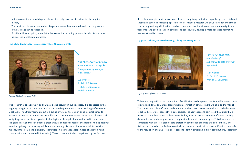<span id="page-16-0"></span>but also consider for which type of offense it is really necessary to determine the physical identity.

- The quality of biometric data such as fingerprints must be monitored so that a complete and integral image can be reasoned.
- Provide a fallback option, not only for the biometrics recording process, but also for the other parts of the identification process.

**1.3.2 Maša Galič, 19 November 2019, Tilburg University, LTMS**



*Title: "Surveillance and privacy in smart cities and living labs: Conceptualising privacy for public space."*

Supervisors: Prof.dr. R.E. Leenes, Prof.dr. E.J. Koops and Prof.dr. E. Kosta

*Figure 2: PhD defense Maša Gali*č

This research is about privacy and big data-based security in public spaces. It is connected to the ongoing Living Lab "Stratumseind 2.0" project on the prominent Stratumseind nightlife street in Eindhoven. The Stratumseind project is a public-private partnership in principle established to increase security so as to renovate the public area, bars and restaurants. Innovative solutions such as lighting, social media and gaming technologies are being deployed and tested in order to meet the goals. Through these solutions a great amount of data will become available for mining, leading to serious privacy concerns beyond data protection (eg. discrimination when used for decision making, unfair treatment, exclusion, stigmatization, de-individualization, loss of autonomy and confrontation with unwanted information). These issues are further complicated by the fact that

this is happening in public space, since the need for privacy protection in public spaces is likely not adequately covered by existing legal frameworks. Masha's research will delve into such and similar issues, emphasizing which actions and acts pose an actual threat to and harm human rights and freedoms (and people's lives in general) and consequently develop a more adequate normative framework in this context.

#### **1.3.3 Eric Lachaud, 2 December 2019, Tilburg University, LTMS**



*Figure 3: PhD defense Eric Lachaud*

This research questions the contribution of certification to data protection. When this research was initiated mid-2012, only a few data protection certification schemes were available on the market. The contribution of certification to data protection had never been evaluated and barely discussed in scholarly literature, especially in legal studies. The above reasons convinced the author that a research should be initiated to determine whether, how and to what extent certification can help data controllers and data processors comply with data protection principles. This desk research, completed with a market scan of data protection certification schemes available in the EU and Switzerland, aimed to clarify the theoretical and practical contributions that certification could offer to the regulation of data protection. It seeds to identify direct and indirect contributions, short-term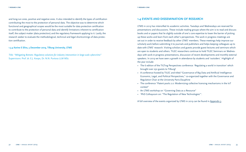<span id="page-17-0"></span>and long-run ones, positive and negative ones. It also intended to identify the types of certification contributing the most to the protection of personal data. The objective was to determine which functional and geographical scopes would be the most suitable for data protection certification to contribute to the protection of personal data and identify limitations inherent to certification itself, the subject matter (data protection) and the regulatory framework applying to it. Lastly, the research seeker to evaluate the methodological, technical and legal shortcomings of data protection certification.

**1.3.4 Karine E Silva, 3 December 2019, Tilburg University, LTMS**

*Title: "Mitigating Botnets: Regulatory solutions for industry intervention in large-scale cybercrime"* Supervisors: Prof. dr. E.J. Koops, Dr. N.N. Purtova LLM MSc

#### **1.4 EVENTS AND DISSEMINATION OF RESEARCH**

LTMS in 2019 has intensified its academic activities. Tuesdays and Wednesdays are reserved for presentations and discussions. These include reading groups where the aim is to read and discuss books and or papers that lie slightly outside of one's core expertise to lower the barrier of picking up these works and learn from each other's perspectives. The work in progress meetings are set out in order to receive feedback by other LTMS' members. These meetings help improve our scholarly work before submitting it to journals and publishers and helps keeping colleagues up to date with LTMS' research. Visiting scholars and guests provide guest lectures and seminars which are open to students and others. TILEC researchers continue to hold TILEC Seminars on Wednesdays with work-in-progress presentations, discussion of recent developments and monthly external speakers. In 2019 we have seen a growth in attendance by students and 'outsiders'. Highlight of the year include:

- The 6 edition of the TILTing Perspectives conference: 'Regulating a world in transition' which brought over 250 guests to Tilburg!
- A conference hosted by TILEC and titled "Governance of Big Data and Artificial Intelligence: Economic, Legal, and Political Perspectives," co-organized together with the Governance and Regulation Chair at the University Paris-Dauphine
- The conference "Patent pools 2.0: Modernizing collective licensing mechanisms in the IoT context"
- An LTMS workshop on "Governing Data as a Resource"
- 'PhD Colloquium on: "The Regulation of New Technologies"'.

A full overview of the events organized by LTMS in 2019 can be found in Appendix 3.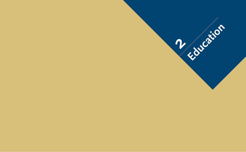<span id="page-18-0"></span>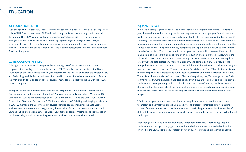<span id="page-19-0"></span>**EDUCATION**

#### **2.1 EDUCATION IN TILT**

Even though TILT is historically a research institute, education is considered to be a very important pillar of TILT. The cornerstone of TILT's education program is its Master's program in Law and Technology. This LL.M. course started in September 2005. Since 2015 TILT is also extensively engaged with education in the new data science programs of JADS. Alongside these major involvements many of TILT staff members are active in one or more other programs, including the bachelor Global Law, the bachelor Liberal Arts, the master Rechtsgeleerdheid, TIAS and other Post Academic Programs.

#### **2.2 EDUCATION IN TILEC**

Although TILEC is not formally responsible for running any of the university's educational programs, it plays a key role in a number of them. TILEC members are very active in the Global Law Bachelor, the Data Science Bachelor, the International Business Law Master, the Master in Law and Technology and the Master in International and EU law. Additional courses are also offered at the PhD level. In 2019, on top of general courses, many courses directly linked up with the TILEC research program.

Examples include the master courses 'Regulating Competition'; 'International Competition Law'; 'Competition Law and Technology Industries'; 'Banking and Security Regulation'; 'Advanced EU Competition Law and Economic Regulation'; 'Crisis and the EU'; 'Trade and WTO Law' 'Law and Economics'; 'Trade and Development'; 'EU Internal Market Law'; 'Making and Shaping of Markets'. TILEC TLS members are also involved in several bachelor courses including: the Data Science Bachelor course 'Innovation and Regulation', the Bachelor of Liberal Arts course 'European Public Law and Public International Law', the Global Law Bachelor courses 'Methods and Techniques of Legal Research , as well as the Rechtsgeleerdheid Bachelor course 'Mededingingsrecht'.

#### **2.3 MASTER L&T**

While the master program started out as a small-scale niche program with only few students a year, the trend is now that the program is attracting over 100 students per year from all over the world. The intake is spread over two periods, in September (ca 80 students) and in January (ca 35 students). The program takes regulation of and by technology as a starting point. There are three main components of the program: 1 mandatory course as a foundation to the entire program. This course is called REAL: Regulation, Ethics, Acceptance and Legitimacy. 6 Electives to choose from a total of 12 electives. The electives within the program are clustered in two ways. First, into three main pillars of the program, all consisting of an introduction and an advanced course, where the advanced course is only available to students who participated in the introduction. These pillars are: privacy and data protection, intellectual property, and competition law (as a result of the merger between TILT and TILEC into LTMS). Second, besides these three main pillars, the program has two clusters of electives: an IT law cluster and a Societal cluster. The IT law cluster consists of the following courses: Contracts and ICT; Global E-Commerce and Internet Liability; Cybercrime. The societal cluster consists of the courses: Climate Change Law; Law, Technology and the Environment; Health, Care, Regulation and Technology. Even though these pillars and clusters provide students with the opportunity to, in combination with their master's thesis, specialize in certain domains within the broad field of Law & Technology, students are entirely free to pick and choose the electives as they wish. On top off the program electives can be chosen from other master programs.

Within the program students are trained in assessing the mutual relationships between law, technology and normative outlooks within society. The program is interdisciplinary in nature, starting from the perspective of regulation, students are challenged to consider the interplay of different disciplines in solving complex societal issues in relation to the ever-evolving technological landscape.

Even though internships are not a mandatory component of the Law & Technology Program, students are encouraged to engage in internships and other extracurricular activities. Practice is involved in the Law & Technology Program by way of guest lectures and extracurricular activities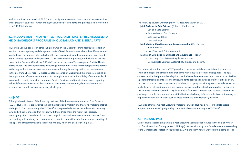<span id="page-20-0"></span>such as seminars and so-called TILT Clinics – assignments commissioned by practice executed by small groups of students – which are highly valued by both students and practice. See more on the 2019 TILT Clinics below.

#### **2.4 INVOLVEMENT IN OTHER TLS PROGRAMS: MASTER RECHTSGELEERD-HEID, BACHELOR'S PROGRAMS IN GLOBAL LAW AND LIBERAL ARTS**

TILT offers various courses in other TLS programs. In the Master Program Rechtsgeleerdheid an elective course on privacy and data protection is offered. Students learn about the differences and similarities in privacy and data protection, they get acquainted with the notions of a harm-based and risk-based approach and explore the GDPR in theory and in practice, on the basis of real-life cases. In the Bachelor Global Law TILT staff teaches a course on Technology and Society. The aim of this course is to develop students' knowledge of important trends in technological developments to the degree that these developments are relevant for regulation, legislation, and enforcement. In the program Liberal Arts TILT hosts a distance course on Liability and the Internet, focusing on the implications of online environments for the applicability and enforceability of traditional legal frameworks. Liability in relation to Internet Service Providers and jurisdictional issues regarding online defamation are used as illustrations of how internationalization, dematerialization and technological turbulence pose regulatory challenges.

#### **2.5 JADS**

Tilburg University is one of the founding partners of the Jheronimus Academy of Data Science (JADS). TILT lecturers are involved in both the Bachelor's Program and Master's Programs that fall under JADS. The courses taught by TILT staff aim to provide data science students with a strong legal and ethical foundation that will stay with them throughout the rest of their careers. The majority of JADS students do not have a legal background. However, over the course of their careers, they will inevitably face circumstances in which they will benefit from an understanding of the legal and ethical frameworks that come into play when one deals with (big) data.

The following courses were taught by TILT lecturers as part of JADS:

- **Joint Bachelor in Data Science:** (Tilburg + Eindhoven)
	- Law and Data Science
	- Perspectives on Data Science
	- Data Science Ethics
	- Data challenge
- **Joint Masters: Data Science and Entrepreneurship** (Den Bosch)
	- IP and Privacy
	- Law, Ethics and Entrepreneurship
- **Masters in Data Science: Business and Governance** (Tilburg)
	- Mandatory: Data Science Regulation and Law
	- Elective: Data Science: Sustainability, Privacy and Security

The primary aim of the courses TILT provides is to ensure that data scientists of the future are aware of the legal and ethical duties that come with the great potential of (big) data. The legal courses provide insight into both legal and ethical considerations relevant to data science. Besides a general introduction into law and ethics, students get basic knowledge of different fields of law such as privacy and data protection and intellectual property law, aiming to make students aware of challenges, risks and opportunities that may derive from these legal frameworks. The courses aim to make students aware that legal and ethical frameworks impact data science. Students are challenged to reflect upon moral and ethical factors which may influence a decision not to analyze or publish certain information, even in cases where it is already publicly available.

JADS also offers some Post Executive Programs in which TILT has a role. In the Data expert program and the KPMG program legal and ethical courses are taught by TILT staff.

#### **2.6 TIAS AND PAO**

One of TILT's success programs is a Post Executive Specialization Course in the field of Privacy and Data Protection. During 4 days (all Fridays) the participants gain a foundational understanding of the General Data Protection Regulation (GDPR) and learn how to work with this complex legal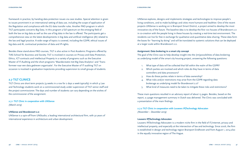<span id="page-21-0"></span>framework in practice, by handing data protection issues via case studies. Special attention is given to issues prominent in an international setting of data use, including the scope of application of the Regulation and compliance with the EU data transfer rules. Another PAO program in which TILT participates concerns Big Data. In this program a full spectrum on the emerging field of both the law on big data as well as the use of big data in the law is offered. The participants get a comprehensive view on the latest developments in big data and artificial intelligence (AI) related to the law and legal practice. A wide range of topics is covered, including the GDPR, ethical issues of big data and AI, contractual protection of data and IP-rights.

Besides these stand-alone PAO courses, TILT is also active in Post Academic Programs offered by TIAS School for Business and Society. TILT is involved in courses on Privacy and Data Protection, Ethics, ICT-contracts and Intellectual Property in a variety of programs such as the Executive Master of IT-Auditing and the short programs 'Waardecreatie met Big Data Analytics' and 'Transformeer naar een data gedreven organisatie'. For the Executive Master of IT-auditing TILT on occasion is involved in graduation trajectories providing supervision to small groups of students.

#### **2.7 TILT CLINICS**

TILT Clinics are short term projects (4 weeks in a row for 2 days a week typically) in which  $\mu$  Law and Technology students work on a commissioned study under supervision of TILT senior staff and the project commissioner. The days and number of students can vary depending on the wishes of the commissioner of the assignment.

#### **2.7.1 TILT Clinic in cooperation with UNSense**  *(March 2019)*

#### **UNSense and Brandevoort 2.0**

UNSense is a spin-off from UNStudio; a leading international architectural firm, with 30 years of international experience in architecture and urban development.

UNSense explores, designs and implements strategies and technologies to improve people's living conditions, and to make buildings and cities more humane and healthier. One of the recent projects UNSense is working on is Brainport Smart District, a project aimed to develop the most innovative city of the future. The baseline idea is to develop the first 100 houses of Brandevoort 2.0 in co-creation with the people living in these houses by creating a real-time test environment. The residents can live for free in exchange for qualitative and quantitative data sharing. These data form the bases for "learning by doing" and will be translated to systemic solutions that can be deployed at a larger scale within Brandevoort 2.0.

#### **Assignment: Data brokering in a smart city concept**

The goal of the Clinic was to help develop insight into the (im)possibilities of data brokering as underlying model of the smart city housing project, answering the following questions:

- 1. What type of data will be collected that fall within the realm of the GDPR?
- 2. Which parties are involved and which roles do they have in terms of data controllers and data processors?
- 3. How do these parties relate in terms of data ownership?
- What risks and/or restrictions may arise from the GDPR regarding data brokerage as underlying model for Brandevoort 2.0?
- 5. What kind of measures need to be taken to mitigate these risks and restrictions?

These main questions resulted in an advisory report of about 15 pages. Besides, based on the report, a 3-page management summary in Dutch was delivered. The Clinic was concluded with a presentation of the main findings.

#### **2.7.2 TILT Clinic in cooperation with Louwers IP|Technology Advocaten** *(November – December 2019)*

#### **Louwers IP|Technology Advocaten**

Louwers IP|Technology Advocaten is a modern niche firm in the field of IT/internet, privacy and intellectual property, and especially at the intersection of law and technology. Since 2006, the firm is established in design and technology region Brainport Eindhoven and from August 1, 2014 also in the equally innovative region of The Hague.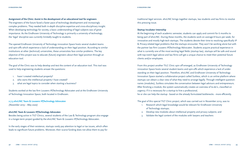#### <span id="page-22-0"></span>**Assignment of the Clinic: Assist in the development of an educational tool for engineers**

The engineers of the future faced a faster pace of technology development and increasingly complex problems. They needed both in-depth discipline expertise and cross-disciplinary insight. When developing technology for society, a basic understanding of legal subjects was of great importance. As the Eindhoven University of Technology is primarily a university of technology, the 'legal' discipline was currently limitedly taught to students.

The opened Eindhoven University of Technology innovation Space hosts several student teams and spin-offs which experience a lack of understanding on their legal position. According to similar institutions at other (technical) universities, these universities face similar problems. The key objective of this project was to educate (future) engineers about their legal position through an education tool.

The goal of the Clinic was to help develop and test the content of an education tool. This tool was used to help engineering students answer the questions:

- have I created intellectual property?
- 2. who owns the intellectual property I have created?
- 3. what are legal topics to consider when starting a business?

Students worked at the law firm Louwers IP|Technology Advocaten and at the Eindhoven University of Technology Innovation Space, both located in Eindhoven.

**2.7.3 ehvLINC Team & Louwers IP|Technology Advocaten** *(November 2019 – May 2020)*

#### **ehvLINC Team & Louwers IP|Technology Advocaten**

Besides being active in TILT Clinics, several students of the Law & Technology program also engage in a longer-term project guided by the ehvLINC Team & Louwers IP|Technology Advocaten.

In the early stages of their existence, startups rarely pay attention to legal or tax issues, which often leads to significant future problems. Moreover, their scarce funding does not allow them to pay for

traditional legal services. ehvLINC brings together startups, law students and law firms to resolve this pressing issue.

#### **Startup Incubator Internship**

At the beginning of each academic semester, students can apply and commit for 6 months to being part of ehvLINC. During these months, the students work on average 8 hours per week, for innovative and mostly high-tech startups. The students devote their time to resolving specifically IP & Privacy-related legal problems that the startups encounter. They won't be working alone but with the partner law firm Louwers IP|Technology Advocaten. Students acquire practical experience in what is currently one of the most exciting legal fields (startup law), startups will be safe and sound with top-notch legal advice and law firms will get a unique chance to meet their potential future clients and/or employees.

From this project another TILC Clinic spin off emerged, as Eindhoven University of Technology innovation Space hosts several student teams and spin-offs which experience a lack of understanding on their legal position. Therefore, ehvLINC and Eindhoven University of Technology Innovation Space started a collaborative project called Suitless, which is an online platform where startups can obtain a clear view of what they need to arrange legally. Through intelligent questionnaires (modules), Suitless simulates the conversation between legal advisors and entrepreneurs. After finishing a module, the system automatically creates an overview of to-do's, classified on urgency. If it is necessary for a startup to hire a professional,

he or she can help the startup - based on the already formulated bottlenecks - more efficiently.

The goal of this special TILT Clinic project, which was carried out in November 2019, was to:

- 1. Research which legal knowledge would be relevant for Eindhoven University of Technology startups;
- 2. Develop new modules about intellectual property and privacy subjects; and
- 3. Validate the legal content of the modules with lawyers and teachers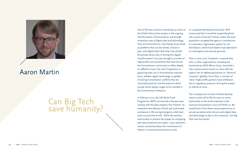

## Aaron Martin

# Can Big Tech save humanity?

One of the key concerns motivating our work on the Global Data Justice project is the ongoing transformation of humanitarian aid through innovative uses of digital data and technology. How are humanitarian crises being reconceived as problems that can be solved, at least in part, with digital data? And what role should the private sector play in driving this digital transformation? Last year brought a number of high-profile announcements that have forced the humanitarian community to reflect deeply on different issues: the role of regulation in governing data use in humanitarian interventions, whether digital technology is capable of solving humanitarian conflicts that are intractably political, and the extent to which private sector players ought to be involved in the humanitarian enterprise.

In February 2019, the UN World Food Programme (WFP) announced a five-year partnership with the data analytics firm Palantir "to streamline the delivery of food and cash-based assistance in life-saving emergency relief operations around the world". While the partners took strides to present the project as complying with data protection principles, many observers remain concerned about the involvement of Palantir in essential humanitarian work.

In a separate development last year, WFP announced that it would be suspending food aid in parts of war-torn Yemen unless the local population accepted the agency's introduction of a biometric registration system for aid distribution, which local leaders had objected to on sovereignty and security grounds.

Then in June 2019, Facebook, in partnership with 27 other organizations including the humanitarian NGO Mercy Corps, launched a new cryptocurrency known as Libra with the explicit aim of addressing barriers to "financial inclusion" globally. Since then, a number of Libra's high-profile partners have withdrawn due to regulatory pressure, forcing the project to rethink its aims.

The consequences of each of these developments surely will be felt for years to come, particularly as the world responds to the massive humanitarian crisis of COVID-19. We should learn from these recent experiences as we ask ourselves what role we want digital data and technology to play in this response. Can Big Tech save humanity?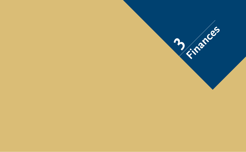<span id="page-24-0"></span>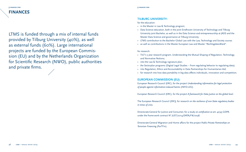**3 finances ltms FINANCES**

LTMS is funded through a mix of internal funds provided by Tilburg University (40%), as well as external funds (60%). Large international projects are funded by the European Commission (EU) and by the Netherlands Organization for Scientific Research (NWO), public authorities and private firms.

**3 finances ltms**

#### **TILBURG UNIVERSITY:**

for the education:

- in the Master in Law & Technology program;
- Data Science education, both in the joint Eindhoven University of Technology and Tilburg University joint Bachelor, as well as in the Data Science and entrepreneurship at JADS and the Master Data Science and governance at Tilburg University;
- LTMS contribution to the Bachelor Global Law with the Law, Technology and Society course;
- as well as contributions in the Master European Law and Master "Rechtsgeleerdheid".

#### for research:

- TILT's 5 year research program, Understanding the Mutual Shaping of Regulation, Technology, and Normative Notions;
- into the Law & Technology signature plan;
- the Sectorplan programs (Digital Legal Studies From regulating behavior to regulating data);
- into Regulation, Ethics and Accountability in Data Partnerships for Humanitarian Aid;
- for research into how data portability in big data affects individuals, innovation and competition.

#### **EUROPEAN COMMISSION (EU):**

European Research Council (ERC), for the project *Understanding information for legal protection of people against information-induced harms (INFO-LEG).*

European Research Council (ERC)*,* for the project *A framework for Data Justice on the global level.*

The European Research Council (ERC**)**, for research on *the resilience of non-State regulatory bodies in times of crisis.*

Directorate-General for Justice and Consumer, for a study *on certification ex art. 42/43 GDPR,*  under the frame-work contract N° JUST/2014/DATA/FW/0038.

Directorate-General Migration and Home affairs for the project *Public-Private Partnerships on Terrorism Financing* (ParTFin).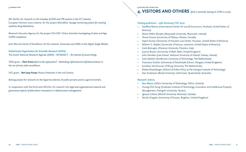<span id="page-26-0"></span>JRC Sevilla, for research on *the interplay of SDO and IPR systems in the ICT industry.* European Horizon 2020 scheme, for the project *MicroMole: Sewage monitoring system for tracking synthetic drug laboratories.*

Research Executive Agency, for the project CSI-COP: *Citizen Scientists Investigating Cookies and App GDPR compliance.*

Jean Monnet Centre of Excellence, for the network: *Consumers and SMEs in the Digital Single Market.*

#### **Netherlands Organization for Scientific Research (NWO):**

The Dutch National Research Agenda (NWA) - *INTERSECT – An internet of secure things.*

VENI grant – **Eleni Kosta** *Back to the typewriters? - Rethinking informational self-determination in the era of mass state surveillance.*

VICI grant – **Bert Jaap Koops** *Privacy Protection in the 21st Century.*

BotLeg project for research on the legal boundaries of public-private actions against botnets.

In cooperation with the think tank NGInfra, for research into *legal and organizational network and governance aspects of data-driven innovations in infrastructure management.*

#### **4 visitors and others ltms**

## **4. VISITORS AND OTHERS** *(fully or partially staying at LTMS in 2019)*

#### **Visiting professors – 25th Aniversary TILT 2019**

- Geoffrey Manne (International Center for Law & Economics, Portland, United States of America)
- Maria Hellen Murphy (Maynooth University, Maynooth, Ireland)
- Teresa Scassa (University of Ottawa, Ottawa, Canada)
- Sapna Kumar (University of Houston Law Center, Houston, United States of America)
- William G. Staples (University of Kansas, Lawrence, United States of America)
- Carlo Botrugno (Florence University, Florence, Italy)
- Joanna Bryson (University of Bath, Bath, United Kingdom)
- John Danaher (Law School, National University of Ireland, Galway, Ireland)
- Sven Nyholm (Eindhoven University of Technology, The Netherlands)
- Francesco Sindico (University of Strathclyde School, Glasgow, United Kingdom)
- Jonathan Verschuuren (Tilburg University, The Netherlands)
- Robert Rosenberger (School of Public Policy at the Georgia Institute of Technology)
- Dan Svatesson (Bond University, Gold Coast, Queensland, Australia)

#### **Research visitors**

- Anu Masso (Tallinn University of Technology, Tallinn, Estonia)
- Huang-Chih Sung (Graduate Institute of Technology, Innovation and Intellectual Property Management, Chengchi University, Taiwan)
- Ignacio Cofone (McGill University, Montreal, Canada)
- Nicolo Zingales (University of Sussex, Brighton, United Kingdom)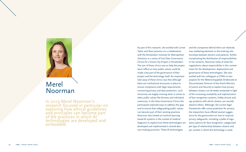

## Merel Noorman

In 2019 Merel Noorman's research focused in particular on exploring how ethical guidelines and principles can become part of the practices in which AI technologies are developed and embedded.

As part of this research, she worked with Linnet Taylor and Shaz Jameson on a collaboration with the Amsterdam Institute for Metropolitan Solutions in a series of trial Data Governance Clinics for a Smart City Project in Amsterdam. The aim of these clinics was to help the project team reflect on how public values could be made a key part of the governance of their project and the technology itself. An important take away of these clinics was that although there are institutional structures in place to ensure compliance with legal requirements concerning privacy and data protection, such structures are largely missing when it comes to other public values like fairness and individual autonomy. In the Data Governance Clinics the participants explored ways to address this gap and to ensure that safeguarding public values can become part of their existing practices. Noorman also looked at machine-learningbased AI systems in the context of medical diagnosis to explore how these technologies are developed and implemented in shared deci sion-making practices. These AI technologies

and the companies behind them are relatively new mediating elements in the evolving rela tionships between doctors and patients, further complicating the distribution of responsibilities. In her research, Noorman looks at what the negotiations about responsibility in this context mean for the development, deployment and governance of these technologies. She also worked with her colleagues at LTMS on two projects for the Wetenschappelijk Onderzoek en Documentatie Centrum of the Dutch Ministry of Justice and Security to explore how privacy between citizens can be better protected in light of the increasing availability and sophistication of face recognition systems, hobby drones and spy products with which citizens can secretly observe others. Although, the current legal frameworks offer some protection for privacy, the researchers have offered several sugges tions for the government on how to improve privacy safeguards, including a pallet of regu latory options for face recognition, categorized per type of relationship between citizens and per context in which the technology is used.

**1 research ltms**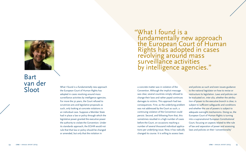

Bart van der<br>Sloot

What I found is a fundamentally new approach a concrete matter was in violation of the<br>
Solonention. Although the implicit messa<br>
Convention. Although the implicit messa What I found is a fundamentally new approach the European Court of Human Rights has adopted in cases revolving around mass surveillance activities by intelligence agencies. For more the 50 years, the Court refused to scrutinize acts and legislative proposals as such, only looking at concrete violations in an individual case. Suppose a Member State had in place a law or policy through which the legislative power granted the executive power the authority to violate the Convention. Under its standards approach, the ECtHR would not rule that that law or policy should be changed or amended, but only that the violation in

"What I found is a fundamentally new approach the European Court of Human Rights has adopted in cases revolving around mass surveillance activities by intelligence agencies."

Convention. Although the implicit message was clear, several countries simply refused to change their laws and rather payed continues damages to victims. This approach had two consequences. First, as the underlying problem was not addressed by the Court as such, a continuing violation of the Convention could persist. Second, and following from that, this sometimes resulted in a high number of cases before the Court, on occasions reaching a number of several thousand individual applica tions per underlying issue. Now, it has radically changed its course. It is willing to assess laws

and policies as such and even issues guidance to the national legislator on how to revise or restructure its legislation. Laws and policies can be evaluated on, inter alia, whether the attribu tion of power to the executive branch is clear, is subject to sufficient safeguards and conditions and whether the use of powers is subject to adequate oversight mechanisms. Doing so, the European Court of Human Rights is turning into a supranational European Constitutional Court, focusing on aspects related to tthe rule of law and separation of power and assessing laws and policies on their 'conventionality'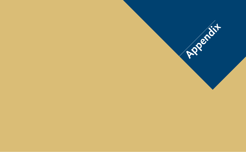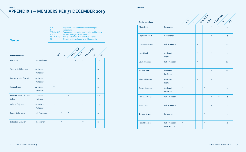#### <span id="page-30-0"></span>**appendix 1**

## **APPENDIX 1 – MEMBERS PER 31 DECEMBER 2019**

|                | RGT:       | Regulation and Governance of Technologies                       |
|----------------|------------|-----------------------------------------------------------------|
|                | -ll:       | <b>Institutions</b>                                             |
|                |            | CP & IN & IP: Competition, Innovation and Intellectual Property |
|                | $AI & R$ : | Artificial Intelligence and Robotics                            |
|                |            | P & DP & DS: Privacy, Data Protection and Data Science          |
| <b>Seniors</b> | CS:        | Cybercrime, Surveillance, and Cybersecurity                     |

|                                    |                        |                                   |                                   |         | Ceentle Ase                       |                                   | PELOPELOS     |     |
|------------------------------------|------------------------|-----------------------------------|-----------------------------------|---------|-----------------------------------|-----------------------------------|---------------|-----|
| <b>Senior members</b>              |                        | RCT                               | $\mathbf{v}$                      |         |                                   |                                   | $\mathcal{S}$ | 45  |
| <b>Floris Bex</b>                  | <b>Full Professor</b>  |                                   |                                   |         | $\frac{d\mathbf{y}}{d\mathbf{x}}$ | $\mathcal{U}$                     |               | O.2 |
| Stephanie Bijlmakers               | Assistant<br>Professor |                                   | $\frac{d\mu}{d\lambda}$           |         |                                   |                                   |               | 1.0 |
| Konrad Maciej Borowicz             | Assistant<br>Professor |                                   | $\frac{d\mathbf{y}}{d\mathbf{x}}$ |         |                                   |                                   |               | 1.0 |
| <b>Tineke Broer</b>                | Assistant<br>Professor | $\frac{d\mathbf{y}}{d\mathbf{x}}$ |                                   |         |                                   |                                   |               | 1.0 |
| Franciso Alves Da Costa-<br>Cabral | Assistant<br>Professor |                                   |                                   | $\star$ |                                   |                                   |               | 0.6 |
| Colette Cuijpers                   | Associate<br>Professor | $\frac{d\mathbf{y}}{d\mathbf{x}}$ |                                   |         |                                   | $\frac{d\mathbf{x}}{d\mathbf{x}}$ |               | O.4 |
| Panos Delimatsis                   | <b>Full Professor</b>  |                                   | $\mathcal{R}$                     | $\star$ |                                   |                                   |               | 1.0 |
| Sebastian Dengler                  | Researcher             |                                   | $\frac{1}{N}$                     |         |                                   | $\star$                           |               | 1.0 |

| <b>Senior members</b> |                                         | RCT                               | $\mathbf{v}$ |                                   | CPSHABY A                         |                                   | PEDPREDS                          | $K^{k}$ |
|-----------------------|-----------------------------------------|-----------------------------------|--------------|-----------------------------------|-----------------------------------|-----------------------------------|-----------------------------------|---------|
| Maša Galič            | Researcher                              |                                   |              |                                   |                                   |                                   | $\frac{d\mathbf{r}}{d\mathbf{x}}$ | 1.0     |
| Raphael Gellert       | Researcher                              |                                   |              |                                   |                                   | $\frac{d\mathbf{x}}{d\mathbf{x}}$ |                                   | 1.0     |
| Damien Geradin        | <b>Full Professor</b>                   |                                   |              | $\frac{d\mathbf{x}}{d\mathbf{x}}$ |                                   |                                   |                                   | O.2     |
| Inge Graef            | Assistant<br>Professor                  |                                   |              | $\frac{d\mathbf{x}}{d\mathbf{x}}$ |                                   | $\frac{d\mathbf{x}}{d\mathbf{x}}$ |                                   | 1.0     |
| Leigh Hancher         | <b>Full Professor</b>                   |                                   |              | $\frac{d\mathbf{r}}{d\mathbf{x}}$ |                                   |                                   |                                   | O.2     |
| Paul de Hert          | Associate<br>Professor                  |                                   |              |                                   |                                   | $\frac{d\mathbf{x}}{d\mathbf{x}}$ |                                   | O.2     |
| <b>Martin Husovec</b> | Assistant<br>Professor                  |                                   |              | $\frac{d\mathbf{x}}{d\mathbf{x}}$ |                                   | $\frac{d\mathbf{y}}{d\mathbf{x}}$ |                                   | 1.0     |
| Esther Keymolen       | Assistant<br>Professor                  | $\star$                           |              |                                   | $\frac{d\mathbf{x}}{d\mathbf{x}}$ |                                   |                                   | 1.0     |
| Bert-Jaap Koops       | <b>Full Professor</b>                   |                                   |              |                                   |                                   | $\frac{d\mathbf{x}}{d\mathbf{x}}$ | $\frac{d\mathbf{x}}{d\mathbf{x}}$ | 1.0     |
| Eleni Kosta           | <b>Full Professor</b>                   |                                   |              |                                   |                                   | $\frac{d\mathbf{x}}{d\mathbf{x}}$ |                                   | 1.0     |
| Tetyana Krupiy        | Researcher                              |                                   |              |                                   | $\frac{d\mathbf{r}}{d\mathbf{x}}$ |                                   |                                   | 1.0     |
| <b>Ronald Leenes</b>  | Full Professor,<br><b>Director LTMS</b> | $\frac{d\mathbf{x}}{d\mathbf{x}}$ |              |                                   | $\frac{d\mathbf{x}}{d\mathbf{x}}$ |                                   |                                   | 1.0     |

#### **appendix 1**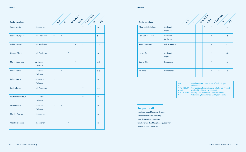| <b>Senior members</b> |                        | RCT                               | $\ddot{\sim}$                     |                                   | CPSIMSIVE R                       |                                   | P&DP&DS                           | $K^{k}$ |
|-----------------------|------------------------|-----------------------------------|-----------------------------------|-----------------------------------|-----------------------------------|-----------------------------------|-----------------------------------|---------|
| Aaron Martin          | Researcher             |                                   |                                   |                                   |                                   |                                   | $\frac{d\mathbf{y}}{d\mathbf{x}}$ | 1.0     |
| Saskia Lavrijssen     | <b>Full Professor</b>  | $\star$                           | $\frac{d\mathbf{x}}{d\mathbf{x}}$ |                                   |                                   |                                   |                                   | 0.6     |
| Lokke Moerel          | <b>Full Professor</b>  |                                   |                                   |                                   | $\frac{d\mathbf{x}}{d\mathbf{x}}$ | $\frac{d\mathbf{x}}{d\mathbf{x}}$ |                                   | O.2     |
| Giorgio Monti         | Full Professor         |                                   |                                   | $\frac{d\mathbf{y}}{d\mathbf{x}}$ |                                   |                                   |                                   | 1.0     |
| Merel Noorman         | Assistant<br>Professor |                                   |                                   |                                   | $\star$                           |                                   |                                   | 0.8     |
| Enrico Partiti        | Assistant<br>Professor |                                   | $\frac{d\mathbf{x}}{d\mathbf{x}}$ |                                   |                                   |                                   |                                   | O.9     |
| Robin Pierce          | Associate<br>Professor | $\frac{d\mathbf{x}}{d\mathbf{x}}$ |                                   |                                   |                                   |                                   |                                   | 1.0     |
| <b>Corien Prins</b>   | Full Professor         |                                   |                                   |                                   |                                   | $\frac{d\mathbf{y}}{d\mathbf{x}}$ |                                   | O.2     |
| Nadezhda Purtova      | Associate<br>Professor |                                   |                                   |                                   |                                   | $\frac{d\mathbf{y}}{d\mathbf{x}}$ |                                   | 1.0     |
| Leonie Reins          | Assistant<br>Professor | $\frac{1}{N}$                     | $\frac{1}{20}$                    |                                   |                                   |                                   |                                   | 1.0     |
| Marijke Roosen        | Researcher             |                                   |                                   |                                   | $\frac{d\mathbf{x}}{d\mathbf{x}}$ |                                   |                                   | 1.0     |
| Alex Ruiz-Feases      | Researcher             |                                   |                                   | $\frac{d\mathbf{y}}{d\mathbf{x}}$ |                                   |                                   |                                   | 1.0     |

**Contract Contract Street** 

 $\mathcal{L}$ 

 $\mathcal{L} = \mathcal{L} = \mathcal{L} = \mathcal{L}$ 

#### **appendix 1 appendix 1**

| <b>Senior members</b>      |                        | RCT                               | $\mathbf{v}$ | CPS/MSV R     |                                   | PEDPERDS<br>$\mathcal{C}$ | 45  |
|----------------------------|------------------------|-----------------------------------|--------------|---------------|-----------------------------------|---------------------------|-----|
| <b>Maurice Schellekens</b> | Assistant<br>Professor |                                   |              | $\mathcal{R}$ | $\frac{d\mathbf{r}}{d\mathbf{x}}$ |                           | 1.0 |
| Bart van der Sloot         | Assistant<br>Professor |                                   |              |               | $\star$                           |                           | 1.0 |
| Kees Stuurman              | <b>Full Professor</b>  |                                   |              |               | $\star$                           |                           | O.4 |
| Linnet Taylor              | Assistant<br>Professor | $\frac{d\mathbf{y}}{d\mathbf{x}}$ |              |               | $\mathcal{R}$                     |                           | 0.8 |
| Evelyn Wan                 | Researcher             |                                   |              |               | $\mathcal{R}$                     |                           | 1.0 |
| Bo Zhao                    | Researcher             |                                   |              |               | $\star$                           | $\star$                   | 1.0 |

| RGT:<br>TE.                            | Regulation and Governance of Technologies<br><b>Institutions</b>                  |
|----------------------------------------|-----------------------------------------------------------------------------------|
|                                        | CP & IN & IP: Competition, Innovation and Intellectual Property                   |
| AI & R:<br><b>P &amp; DP &amp; DS:</b> | Artificial Intelligence and Robotics<br>Privacy, Data Protection and Data Science |
| CS:                                    | Cybercrime, Surveillance, and Cybersecurity                                       |

### **Support staff**

Leonie de Jong, Managing Director Femke Abousalama, Secretary Maartje van Genk, Secretary Ghislaine van den Maagdenberg, Secretary Heidi van Veen, Secretary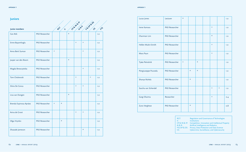| <b>APPENDIX 1</b> | <b>APPENDIX 1</b> |
|-------------------|-------------------|
|-------------------|-------------------|

| <b>Juniors</b>         |                |                                   |                    |                                   |                                   |                                   |                                   |         |
|------------------------|----------------|-----------------------------------|--------------------|-----------------------------------|-----------------------------------|-----------------------------------|-----------------------------------|---------|
| Junior members         |                | RCT                               | $\hat{\mathbf{v}}$ |                                   | Ceeple R. Es                      |                                   | PEDPROFIT                         | $K_{k}$ |
| Can Atik               | PhD Researcher |                                   |                    | $\frac{1}{24}$                    |                                   |                                   |                                   | 1.0     |
| Emre Bayamlioglu       | PhD Researcher |                                   |                    |                                   | $\frac{d\mathbf{x}}{d\mathbf{x}}$ | $\frac{d\mathbf{y}}{d\mathbf{x}}$ |                                   | 1.0     |
| Anna Berti Suman       | PhD Researcher | $\frac{d\mathbf{x}}{d\mathbf{x}}$ |                    |                                   |                                   | $\frac{d\mathbf{y}}{d\mathbf{x}}$ |                                   | 1.0     |
| Jasper van den Boom    | PhD Researcher |                                   |                    | $\frac{d\mathbf{x}}{d\mathbf{x}}$ |                                   |                                   |                                   | 1.0     |
| Magda Brewczyńska      | PhD Researcher |                                   |                    |                                   |                                   | $\frac{d\mathbf{y}}{d\mathbf{x}}$ |                                   | 1.0     |
| Tom Chokrevski         | PhD Researcher |                                   |                    |                                   | $\frac{d\mathbf{x}}{d\mathbf{x}}$ |                                   | $\frac{d\mathbf{x}}{d\mathbf{x}}$ | 1.0     |
| Silvia De Conca        | PhD Researcher |                                   |                    |                                   | $\frac{1}{N}$                     | $\frac{1}{N}$                     |                                   | 1.0     |
| Lisa van Dongen        | PhD Researcher |                                   |                    | $\frac{d\mathbf{y}}{d\mathbf{x}}$ |                                   |                                   |                                   | 1.0     |
| Brenda Espinosa Apráez | PhD Researcher | $\frac{d\mathbf{y}}{d\mathbf{x}}$ | $\mathcal{U}$      |                                   |                                   |                                   |                                   | 1.0     |
| Aviva de Groot         | PhD Researcher |                                   |                    |                                   | $\frac{1}{N}$                     | $\frac{d\mathbf{x}}{d\mathbf{x}}$ |                                   | 1.0     |
| Olga Hrynkiv           | PhD Researcher |                                   | $\mathcal{U}$      |                                   |                                   |                                   |                                   | 1.0     |
| Shazade Jameson        | PhD Researcher |                                   |                    |                                   |                                   | $\mathbf{g}_t$                    |                                   | 1.0     |

| Lucas Jones          | Lecturer       | $\frac{d\mathbf{r}}{d\mathbf{x}}$ |                                   |                                   |                                   |                                   | 1.0              |
|----------------------|----------------|-----------------------------------|-----------------------------------|-----------------------------------|-----------------------------------|-----------------------------------|------------------|
| Irene Kamara         | PhD Researcher |                                   |                                   |                                   | $\frac{d\mathbf{y}}{d\mathbf{x}}$ |                                   | 1.0              |
| Charmian Lim         | PhD Researcher |                                   |                                   |                                   | $\frac{d\mathbf{y}}{d\mathbf{x}}$ |                                   | 1.0              |
| Hellen Mukiri-Smith  | PhD Researcher |                                   |                                   |                                   | $\frac{d\mathbf{y}}{d\mathbf{x}}$ |                                   | 1.0 <sub>1</sub> |
| Mara Paun            | PhD Researcher |                                   |                                   |                                   | $\frac{d\mathbf{x}}{d\mathbf{x}}$ |                                   | 1.0 <sub>1</sub> |
| Tjaša Petročnik      | PhD Researcher | $\frac{d\mathbf{x}}{d\mathbf{x}}$ |                                   | $\frac{d\mathbf{x}}{d\mathbf{x}}$ |                                   |                                   | 1.0 <sub>1</sub> |
| Piergiuseppe Puscedu | PhD Researcher |                                   | $\frac{d\mathbf{x}}{d\mathbf{x}}$ | $\frac{d\mathbf{x}}{d\mathbf{x}}$ |                                   |                                   | 1.0 <sub>1</sub> |
| Shanya Ruhela        | PhD Researcher |                                   | $\frac{d\mathbf{x}}{d\mathbf{x}}$ |                                   |                                   |                                   | 1.0 <sub>1</sub> |
| Sascha van Schendel  | PhD Researcher |                                   |                                   |                                   | $\frac{d\mathbf{y}}{d\mathbf{x}}$ | $\frac{d\mathbf{y}}{d\mathbf{x}}$ | 1.0              |
| Gargi Sharma         | Researcher     |                                   |                                   |                                   | $\frac{d\mathbf{y}}{d\mathbf{x}}$ |                                   | 0.4              |
| Zuno Verghese        | PhD Researcher |                                   | $\frac{d\mathbf{x}}{d\mathbf{x}}$ |                                   |                                   |                                   | 0.8              |

| RGT:                        | <b>Regulation and Governance of Technologies</b>                |
|-----------------------------|-----------------------------------------------------------------|
| Шr                          | Institutions                                                    |
|                             | CP & IN & IP: Competition, Innovation and Intellectual Property |
| AI & R:                     | Artificial Intelligence and Robotics                            |
| <b>P &amp; DP &amp; DS:</b> | Privacy, Data Protection and Data Science                       |
| CS:                         | Cybercrime, Surveillance, and Cybersecurity                     |
|                             |                                                                 |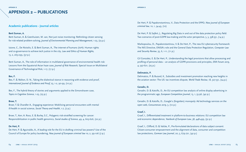### <span id="page-33-0"></span>**APPENDIX 2 – PUBLICATIONS**

#### **Academic publications - Journal articles**

#### **Berti Suman, A.**

Berti Suman, A. & Geenhuizen, M. van, Not just noise monitoring: Rethinking citizen sensing for risk-related problem-solving, *Journal of Environmental Planning and Management*, 1-23, (23 p.)

Iaione, C., De Nictolis, E. & Berti Suman, A., The internet of humans (IoH): Human rights and co-governance to achieve tech justice in the city*, Law and Ethics of Human Rights,*  13, 2, 263-299, (37 p.)

Berti Suman, A., The role of information in multilateral governance of environmental health risk: Lessons from the Equatorial Asian haze case, *Journal of Risk Research,* Special Issue on Multilateral Governance of Technological Risk, 1-17, (17 p.)

#### **Bex, F.**

Bex, F. & Walton, D. N., Taking the dialectical stance in reasoning with evidence and proof, *International Journal of Evidence and Proof*, 23, 1-2, 90-99, (10 p.)

Bex, F., The hybrid theory of stories and arguments applied to the Simonshaven case, *Topics in Cognitive Science,* 1-23, (23 p.)

#### **Broer, T.**

Broer, T. & Chandler A., Engaging experience: Mobilising personal encounters with mental ill-health in social science, *Social Theory and Health*, 1-7, (7 p.)

Broer, T., Kerr, A. Ross, E. & Burley, S.C., Polygenic risk-stratified screening for cancer: Responsibilization in public health genomics, *Social studies of Science*, 49, 4, 605-626, (22 p.)

#### **De Hert, P.**

De Hert, P. & Aguinaldo, A., A leading role for the EU in drafting criminal law powers? Use of the Council of Europe for policy laundering, *New journal of European criminal law 10*, 2, 99-106 (7 p.)

De Hert, P. & Papakonstantinou, V., Data Protection and the EPPO, *New journal of European criminal law,* 10, 1, 34-43, (10)

De Hert, P. & Sajfert, J., Regulating Big Data in and out of the data protection policy field: Two scenarios of post-GDPR law-making and the actor perspective, 5, 3, 338-351, (14 p.)

Markopoulou, D., Papakonstantinou, V. & De Hert, P., The new EU cybersecurity framework: The NIS Directive, ENISA's role and the General Data Protection Regulation, *Computer Law and Security Review*, 35, 6, 1-11, (11 p.)

Gil Gonzalez, E. & De Hert, P., Understanding the legal provisions that allow processing and profiling of personal data – an analysis of GDPR provisions and principles, *ERA Forum 2019*, 4, 597-621, (25 p.)

#### **Delimatsis, P.**

Delimatsis, P. & Buzard, K., Subsidies and investment promotion reaching new heights in the aviation sector: The US- tax incentives dispute, *World Trade Review*, 18, 327-351, (24 p.)

#### **Geradin, D.**

Geradin, D. & Katsifis, D., An EU competition law analysis of online display advertising in the programmatic age, *European Competition Journal*, 15, 1, 55-96, (42 p.)

Geradin, D. & Katsifis, D., Google's (forgotten) monopoly: Ad technology services on the open web, *Concurrences 2019,* 3, (10 p.)

#### **Graef, I.**

Graef, I., Differentiated treatment in platform-to-business relations: EU competition law and economic dependence, *Yearbook of European Law*, 38, 448-499, (52 p.)

Graef, I., Clifford, D. & Valcke, P., Pre-formulated declarations of data subject consent: Citizen-consumer empowerment and the alignment of data, consumer and competition law protections, *German Law Journal*, 20, 5, 679-721, (42 p.)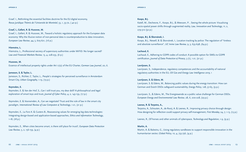Graef. I., Rethinking the essential facilities doctrine for the EU digital economy, *Revue Juridique Thémis de l'Université de Montréal*, 53, 1, 33-72, ( 40 p.)

#### **Graef, I., Gellert, R. & Husovec, M.**

Graef, I., Gellert, R. & Husovec, M., Toward a holistic regulatory approach for the European data economy: Why the illusive notion of non-personal data is counterproductive to data innovation, *European Law Review*, 44, 5, 605-621, (16 p.)

#### **Hiemstra, L.**

Hiemstra, L., Professional secrecy of supervisory authorities under MiFID: No longer sacred? *Law and Financial Markets Review,* 13, 4, 228-233, (6 p.)

#### **Husovec, M.**

Essence of intellectual property rights under Art 17(2) of the EU Charter, *German Law Journal*, 20, 6.

#### **Jameson, S. & Taylor, L.**

Jameson, S., Richter, C. Taylor, L., People's strategies for perceived surveillance in Amsterdam Smart City, *Urban Geography,* 1-19, (19 p.)

#### **Keymolen, E.**

Keymolen, E. & Van der Hof, S., Can I still trust you, my dear doll? A philosophical and legal exploration of smart toys and trust, *Journal of Cyber Policy*, 4, 2, 143-159, (17 p.)

Keymolen, E. & Voorwinden, A., Can we negotiate? Trust and the rule of law in the smart city paradigm, *International Review of Law Computers & Technology*, 1-21, (21 p.)

Keymolen, E., La Fors K. & Custers B., Reassessing values for emerging big data technologies: Integrating design-based and application-based approaches, *Ethics and Information Technology*, 1-18, (18 p.)

Keymolen, E., When cities become smart, is there still place for trust?*, European Data Protection Law Review*, 5, 2, 156-159, (4 p.)

#### **Koops, B-J.**

Katell, M., Dechesne, F., Koops, B-J., & Meessen, P. , Seeing the whole picture: Visualising socio-spatial power shifts through augmented reality, *Law, Innovation and Technology*, *11*, 2, 279-310 (32 p.)

#### **Koops, B-J. & Skorvánek, I.**

Koops, B-J., Newell, B. & Skorvánek, I., Location tracking by police: The regulation of "tireless and absolute surveillance", *UC Irvine Law Review,* 9, 3, 635-698, (64 p.)

#### **Lachaud, E.**

Lachaud, E., Adhering to GDPR codes of conduct: A possible option for SMEs to GDPR certification, *Journal of Data Protection & Privacy*, 3 (1), 1-21, (21 p.)

#### **Lavrijssen, S.**

Lavrijssen, S., Independence, regulatory competences and the accountability of national regulatory authorities in the EU, *Oil Gas and Energy Law Intelligence 2019*, 1

#### **Lavrijssen, S. & Edens, M.**

Lavrijssen, S. & Edens, M., Balancing public values during the energy transition: How can German and Dutch DSOs safeguard sustainability, *Energy Policy*, 128, 57-65, (9 p.)

Lavrijssen, S., & Edens, M., The Energiewende as a public value challenge for German DSOs. *European Energy and Environmental Law Review*, 28, 6*,* 200-228, (29 p.)

#### **Leenes, R. & Terpstra, A.,**

Terpstra, A., Schouten, A., de Rooij, A. & Leenes, R., Improving privacy choice through design: How designing for reflection could support privacy self-management, *First Monday,* 24, 7, 1-13, (13 p.)

Leenes, R., Of horses and other animals of cyberspace, *Technology and Regulation*, 1-9, (9 p.)

#### **Martin, A.**

Martin, A. & Balestra, G., Using regulatory sandboxes to support responsible innovation in the humanitarian sector, *Global Policy,* 10, 4, 733-736, (4 p.)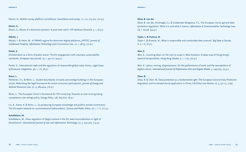Martin, A., Mobile money platform surveillance, *Surveillance and society*, 17, 1/2, 213-222, (10 p.)

#### **Monti, G.**

Monti, G., Abuse of a dominant position: A post-intel calm?, *CPI Antitrust Chronicle*, 3, 1, (6 p.)

#### **Nikolic, I.**

Nikolic, I. & Heim, M., A FRAND regime for dominant digital platforms, *JIPITEC: Journal of Intellectual Property, Information Technology and E-Commerce Law*, 10, 1, 38-55, (17 p.)

#### **Partiti, E.**

Orchestration as a form of public action: The EU engagement with voluntary sustainability standards, *European Law Journal,* 25, 1, 94-117, (24 p.)

Partiti, E., International trade and the regulation of responsible global value chains, *Legal Issues of Economic Integration,* 46*, 1, 1-6, (6 p.)*

#### **Reins, L.**

Penttinen, S-L. & Reins, L., System boundaries of nearly zero-energy buildings in the European Union: Rethinking the legal framework for active consumer participation, *Journal of Energy and Natural Resources Law*, 37, 4, 389-404, (16 p.)

Reins, L., The European Union's framework for FDI screening: Towards an ever more growing competence over energy policy, *Energy Policy,* 128, 665-672, (8 p.)

Lis, A., Kama, K. & Reins, L., Co-producing European knowledge and publics amidst controversy: The EU expert network on unconventional hydrocarbons, *Science and Public Policy*, 26, 1, 1-11, (11 p.)

#### **Schellekens, M.**

Schellekens, M., Does regulation of illegal content in the EU need reconsideration in light of blockchains?, *International Journal of Law and Information Technology,* 27, 3, 292-305, (14 p.)

#### **Sloot, B. van der**

Sloot, B. van der, Hoofnagle, C.J. & Zuiderveen Borgesius, F.J., The European Union general data protection regulation: What it is and what it means, *Information & Communication Technology Law*, 28, 1, 65-98, (34 p.)

#### **Taylor, L. & Purtova, N.**

Taylor L. & Purtova, N., What is responsible and sustainable data science?, *Big Data & Society,* 6, 2, 1-6, (6 p.)

#### **Wan, E.**

Wan, E., Counting down on the train to 2046 in West Kowloon: A deep map of Hong Kong's spectral temporalities, *Hong Kong Studies,* 2, 1, 1-20, (20 p.)

Wan, E. Labour, mining, dispossession: On the performance of earth and the necropolitics of digital culture, *International Journal of Performance Arts and Digital Media,* 3, 249-263, (15 p.)

#### **Zhao, B.**

Zhao, B. & Chen, W., Data protection as a fundamental right: The European General Data Protection Regulation and its extraterritorial application in China, *US-China Law Review,* 16, 3, 97-113, (17p)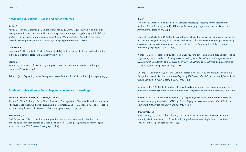#### <span id="page-36-0"></span>**Academic publications – Books and edited volumes**

#### **Kosta, E.**

Kosta, E., Pierson, J., Slamanig, D., Fischer-Hübner, S., & Krenn, S. (Eds.), Privacy and identity management. Fairness, accountability, and transparency in the age of big data: 13th IFIP WG 9.2, 9.6/11.7, 11.6/SIG 9.2.2 International Summer School, Vienna, Austria, August 20-24, 2018, revised selected papers, IFIP AICT Tutorials, 547, Springer Internationa, (281 p.)

#### **Lavrijssen, S.**

Lavrijssen, S., Hirsch Ballin, E., & de Poorter, J. (Eds.) Judicial review of administrative discretion in the administrative state. T.M.C. Asser Press (198 p.)

#### **Monti, G.**

Monti, G., Chalmers D. & Davies, G., European Union law: Text and materials*.* Cambridge University Press, (1022 p.)

Reins, L. (ed.), *Regulating new technologies in uncertain times,* T.M.C. Asser Press | Springer, 309-313.

### **Academic publications – Book chapters, conference proceedings**

#### **Adams, S., Silva, E., Koops, B-J. & Sloot, B. van der**

Adams, S., Silva, E., Koops, B-J. & Sloot, B. van der, The regulation of botnets: How does cybersecurity governance theory work when everyone is a stakeholder?, Ellis, R. & Mohan, V. (eds.). Hoboken, NJ: John Wiley & Sons Ltd., *Rewired: Cybersecurity governance*, 117-136, (20 p.)

#### **Berti Suman, A.**

Berti Suman, A., Between freedom and regulation: Investigating community standards for enhancing scientific robustness of Citizen Science, Reins, L. (ed.)., *Regulating new technologies in uncertain time,* T.M.C. Asser Press, 31-46, (16 p.),

#### **Bex, F.**

Testerink, B., Odekerken, D. & Bex, F., AI-assisted message processing for the Netherlands National Police, Branting, K. (ed.), *AIAS-2019: Proceedings of the first Workshop on AI and the Administrative State,* 10-13, (4 p.)

Testerink, B., Odekerken, D. & Bex, F., A method for efficient argument-based inquiry, Cuzzocrea, A., Greco, S., Legind Larsen, H., Saccà, D., Andreasen, T. & Christiansen, H. (eds.), *Flexible query answering systems: 13th International Conference*, FQAS 2019, Amantea, Italy, July 2–5, 2019, proceedings, Springer, 114-125. (12 p.)

Wieten, R., Bex, F., Prakken, H. & Renooij, S., Constructing bayesian network graphs from labeled arguments, Kern-Isbender, G. & Ognjanović, Z. (eds.), *Symbolic and quantitative approaches to reasoning with uncertainty: 15th European Conference, ECSQARU 2019, Belgrade, Serbia, September 18-20, 2019, proceedings*, Springer, 99-110, (12 p.)

De Jong, P., Van Der Werf, J. M. EM., Van Steenbergen, M., Bex, F. & Brinkhuis, M., Evaluating Design Rationale in Architecture, *Proceedings 2019 IEEE International Conference on Software Architecture Companion: ICSA-C 2019*, IEEE, 145-152, (8 p.)

Schraagen, M. P. & Bex, F., Extraction of semantic relations in noisy user-generated law enforcement data, *Proceedings of the 13th IEEE International Conference on Semantic Computing (ICSC 2019)*

Wieten, R., Bex, F., Prakken, H. & Renooij, S., Supporting discussions about forensic Bayesian networks using argumentation, *ICAIL '19: Proceedings of the seventeenth International Conference on Artificial Intelligence and Law*, ACM, 143-152, (10 p.)

#### **Brewczyńska, M**

Brewczyńska, M., Dunn, S. & Elijahu, A., Data privacy laws response to ransomware attacks: A multi-jurisdictional analysis, Reins, L. (ed.), *Regulating new technologies in uncertain times*, TMC Asser Press | Springer, 281-305, (25 p)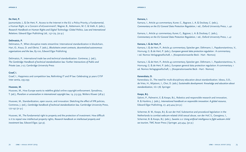#### **De Hert, P.**

Jasmontaite, L. & De Hert, P., Access to the Internet in the EU: a Policy Priority, a Fundamental, a Human Right, or a Concern of eGovernment?, Wagner, B., Kettemann, M. C. & Vieth, K. (eds.), *Research Handbook on Human Rights and Digital Technology: Global Politics, Law and International Relations.* Edward Elgar Publishing Ltd., 157-179, (22 p.)

#### **Delimatsis, P.**

Delimatsis, P., When disruptive meets streamline: International standardization in blockchain, Hari, O., Kraus, D. and Obrist, T. (eds.), *Blockchains smart contracts, decentralized autonomous organisations and the law*, 83-100, Edward Elgar Publishing

Delimatsis, P., International trade law and technical standardization. Contreras, J. (ed.), *The Cambridge Handbook of technical standardization law: Further Intersections of Public and Private Law*, 7-27, Cambridge University Press

#### **Graef, I.**

Graef, I., Happiness and competition law, Rethinking IT and IP law: Celebrating 30 years CiTiP Inter sentia*,* 295-299

#### **Husovec, M.**

Husovec, M., How Europe wants to redefine global online copyright enforcement. Synodinou, T. (ed.), *Pluralism or universalism in international copyright law,* 19*,* 513-539, Wolters Kluwer (28 p.)

Husovec, M., Standardization, open source, and innovation: Sketching the effect of IPR policies, Contreras, J. (ed.), *Cambridge handbook of technical standardization law,* Cambridge University Press, 177-197 (21 p.)

Husovec, M., The fundamental right to property and the protection of investment. How difficult is it to repeal new intellectual property rights, *Research handbook on intellectual property and investment law,* Edward Elgar, (40 p).

#### **Kamara, I.**

Kamara, I., Article 40 commentary, Kuner, C., Bygrave, L. A. & Docksey, C. (eds.), *Commentary on the EU General Data Protection Regulation*, 1 ed., Oxford University Press, 1, 40

Kamara, I., Article 41 commentary, Kuner, C., Bygrave, L. A. & Docksey, C. (eds.), *Commentary on the EU General Data Protection Regulation*, 1 ed., Oxford University Press, 1, 41

#### **Kamara, I. & de Hert, P.**

Kamara, I. & de Hert, P., Article 42 commentary, Spiecker gen. Döhmann, I., Papakonstantinou, V., Hornung, G. & de Hert, P. (eds.), *European general data protection regulation* : A commentary, 1 ed. Nomos Verlagsgesellschaft, 1, (Kooperationswerke Beck - Hart - Nomos)

Kamara, I. & de Hert, P., Article 43 commentary, Spiecker gen. Döhmann, I., Papakonstantinou, V., Hornung, G. & de Hert, P. (eds.), European general data protection regulation: A commentary, 1 ed. Nomos Verlagsgesellschaft, 1, (Kooperationswerke Beck - Hart - Nomos)

#### **Kanevskaia, O.**

Kanevskaia, O., The need for multi-disciplinary education about standardization. Idowu, S.O., de Vries, H., Mijatovic, I., Choi, D. (eds.) *Sustainable development: Knowledge and education about standardization,* 161-178*,* Springer

#### **Koops, B-J.**

Salvini, P., Palmerini, E. & Koops, B-J., Robotics and responsible research and innovation, R. & Hankins, J. (eds.), *International handbook on responsible innovation: A global resource*, Edward Elgar Publishing, 27, 405-424 (20 p.)

Schermer, B. W., Koops, B-J. & van der Hof, Substantive and procedural legislation in the Netherlands to combat webcam-related child sexual abuse, van der Hof, S., Georgieva, I., Schermer, B. & Koops, B-J. (eds.), *Sweetie 2.0: Using artificial intelligence to fight webcam child sex tourism,* TMC Asser Press | Springer, 425-454, (30 p.)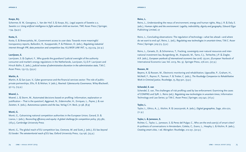#### **Koops, B-J.**

Schermer, B. W., Georgieva, I., Van der Hof, S. & Koops, B-J., Legal aspects of Sweetie 2.0, *Sweetie 2.0: Using artificial intelligence to fight webcam child sex tourism, TMC Asser Press | Springer,* 1-94, (94 p.)

#### **Kosta, E.**

Kosta, E. & Brewczyńska, M., Government access to user data: Towards more meaningful transparency reports, Ballardini, R., Kuoppamäki, P. & Pitkänen, O. (eds.), *Regulating industrial internet through IPR, data protection and competition law,* KLUWER LAW INT, 13, 253-274, (22 p.)

#### **Lavrijssen, S.**

Lavrijssen, S. & Capkurt, F., Who guards the guardians? Judicial oversight of the authority consumer and market's energy regulations in the Netherlands, Lavrijssen, S.J.D.P. Lavrijssen and Hirsch Ballin, E, (eds.), *Judicial review of administrative discretion in the administrative state,* T.M.C. Asser Press, 133-173, (39 p.)

#### **Martin, A.**

Martin, A. & San Juan, V., Cyber governance and the financial services sector: The role of publicprivate partnerships, Ellis, R. & Mohan, V. (eds.), *Rewired: Cybersecurity Governance,* Wiley-Blackwell, 97-115, (19 p.)

#### **Moerel, L.**

Moerel, L. & Storm, M., Automated decisions based on profiling: Information, explanation or justification – That is the question!, Aggerwal, N., Eidenmuller, H., Enriques, L., Payne, J. & van Zwieten, K. (eds*.), Autonomous systems and the law,* Verlag C.H. Beck, 91-98, (8 p)

#### **Monti, G.**

Monti, G., Galvanising national competition authorities in the European Union*,* Gerard, D. & Lianos, I. (eds.), *Reconciling efficiency and equity: A global challenge for competition policy*, 365-382, (18 p.), Cambridge University Press

Monti, G., The global reach of EU competition law*, Cremona, M. and Scott, J.* (eds.), *EU law beyond EU border: The extraterritorial reach of EU law, Oxford University Press, 174-196, (23 p.)* 

#### **Reins, L.**

Reins, L., Understanding the nexus of environment, energy and human rights, May, J. R. & Daly, E. (eds.), *Human rights and the environment: Legality, indivisibility, dignity and geography*, Edward Elgar Publishing Limited, 27

Reins, L., Concluding observations: The regulation of technology—what lies ahead—and where do we want to end up?, Reins, L. (ed.), *Regulating new technologies in uncertain times,* T.M.C. Asser Press | Springer, 309-313, (5 p.)

Reins, L., Geraets, D., & Schomerus, T., Fracking, sovereignty over natural resources and international investment law, Bungenberg, M., Krajewski, M., Tams, C.J., Terhechte, J.P. & Ziegler, A.R. (eds.), *European yearbook of international economic law 2018, 175-201, (*European Yearbook of International Economic Law; Vol. 2019, No. 9). Springer Press, 276-201, (27 p.)

#### **Roosen, M**.

Beyens, K. & Roosen, M., Electronic monitoring and rehabilitation, Ugwudike, P., Graham, H., McNeill, F., Raynor, P., Taxman, F. & Trotter, C. (eds.), *The Routledge Companion to Rehabilitative Work in Criminal Justice*, Routledge, 73, 893-901, (9 p.)

#### **Schendel, S. van**

Schendel, S. van, The challenges of risk profiling used by law enforcement: Examining the cases of COMPAS and SyRI. L. Reins (ed*.), Regulating new technologies in uncertain times*, Information Technology and Law Series; 32 T.M.C. Asser Press | Springer, 225-240, (16 p.)

#### **Taylor, L.**

Taylor, L., Ethics, A., J., Kitchin, R. & Leszczynski, A. (eds.), *Digital geographies*, Sage, 260-270,  $(11 p.)$ 

#### **Taylor, L. & Jameson, S.**

Richter, C., Taylor, L., Jameson, S. & Perez del Pulgar, C., Who are the end-user(s) of smart cities? A synthesis of conversations in Amsterdam, Coletta, C., Evans, L., Heaphy, L. & Kitchin, R. (eds.), *Creating smart cities,* 1 ed. Abingdon: Routledge, 212-231, (20 p.)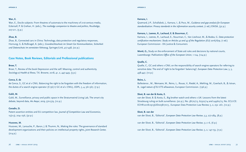#### <span id="page-39-0"></span>**Wan, E.**

Wan, E., Docile subjects: From theatres of automata to the machinery of 21st-century media, Eckersall, P. & Grehan, H. (eds.), *The routledge companion to theatre and politics*, Routledge, 207-211, (5 p.)

#### **Zhao, B.**

Zhao, B., Connected cars in China: Technology, data protection and regulatory responses, Hornung, G. & Roßnagel, A. (eds.), *Grundrechtsschutz im Smart Car Kommunikation, Sicherheit und Datenschutz im vernetzten Fahrzeug*, Springer/Link, 417-438, (22 p.)

#### **Case Notes, Book Reviews, Editorials and Professional publications**

#### **Broer, T.**

Broer, T., Review of the book Depression and the self: Meaning, control and authenticity, *Sociology & Health & Illness,* T.K. Browne, 2018, 41, 2, 447-449, (3 p.)

#### **Conca, S. de**

de Conca, S., GC et al v CNIL: Balancing the right to be forgotten with the freedom of information, the duties of a search engine operator (C136/17 GC et al v CNIL), *EDPL,* 5, 4, 561-567, (7 p.)

#### **Galič, M.**

Galič, M., Surveillance, privacy and public space in the Stratumseind Living Lab, The smart city debate, beyond data*, Ars Aequi, 2019*, 570-579, (10 p.)

#### **Geradin, D.**

Patent assertion entities and EU competition law*. Journal of Competition Law and Economics,*  15(2-3), 204–236, (32 p.)

#### **Husovec, M.**

Husovec, M., Larouche, P., Baron, J. & Thumm, N., Making the rules: The governance of standard development organizations and their policies on intellectual property rights, *Joint Research Center,*  $(214 p.)$ 

#### **Kamara, I.**

Quemard, J-P., Schallabok, J., Kamara, I., & Pocs, M., *Guidance and gap analysis for European standardisation: Privacy standards in the information security context,* (1 ed.) ENISA, (32 p.)

#### **Kamara, I., Leenes, R., Lachaud, E. & Stuurman, C.**

Kamara, I., Leenes, R., Lachaud, E., Stuurman, C., Van Lieshout, M., & Bodea, G. *Data protection certification mechanisms: Study on Articles 42 and 43 of the Regulation (EU) 2016/679*, (1 ed.) European Commission - DG Justice & Consumers

**Monti, G.,** Study on the enforcement of State aid rules and decisions by national courts, *Luxembourgs: Publications Office of the European Union*, 1-124, (124 p.)

#### **Quelle, C.**

Quelle, C., GC and others v CNIL on the responsibility of search engine operators for referring to sensitive data: The end of 'right to be forgotten' balancing?, *European Data Protection Law*, 5, 3, 438-447, (10 p.)

#### **Reins, L.**

Ballesteros , M., Wemaere, M., Reins, L., Rouas, V., Riedel, A., Mehling, M., Goerlach, B., & Istvan, B., *Legal nature of EU ETS allowances*, European Commission. (196 p.)

#### **Sloot, B. van der & Kosta, E.**

van der Sloot, B. & Kosta, E., Big brother watch and others v UK: Lessons from the latest Strasbourg ruling on bulk surveillance. (20 p.), No. 58170/13, 62322/14 and 24960/15, No. ECLI:CE: ECHR:2018:0913JUD005817013 , European Data Protection Law Review; 5, 2, 252 -261, (10 p.)

#### **Sloot, B. van der**

van der Sloot, B., 'Editorial', *European Data Protection Law Review*, 5,3, 277-284, (8 p.)

van der Sloot, B., 'Editorial', *European Data Protection Law Review*, 5,1,1-6, (6 p.)

van der Sloot, B., 'Editorial', *European Data Protection Law Review*, 5, 2, 147-153, (7 p.)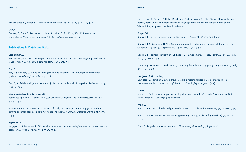<span id="page-40-0"></span>van der Sloot, B., 'Editorial', *European Data Protection Law Review*, 5, 4, 461-465, (5 p.)

#### **Wan, E.**

Cervera, F., Chua, S., Demetriou, Y., Jeon, A., Laine, E., Sharifi, A., Wan, E. & Warren, A., Orientations: Where is the future now?, *Global Performance Studies*, 2, 2

#### **Publications in Dutch and Italian**

#### **Berti Suman, A.**

Berti Suman, A, Il caso "The People v. Arctic Oil" e relative considerazioni sugli impatti climatici 'a valle' nella VIA, *Ambiente & Sviluppo 2019*, 6, 466-472,(7 p.)

#### **Bex, F.**

Bex, F. & Meynen, G., Artificiële intelligentie en risicotaxatie: Drie kernvragen voor strafrechtjuristen, *Nederlands Juristenblad*, 44, 2278

Bex, F., Artificiële intelligentie in de praktijk: Lessen uit onderzoek bij de politie, *Rechtstreeks 2019*, 2, 26-34, (9 p.)

**Espinosa Apráez, B., & Lavrijssen, S.**  Espinonsa Apraez, B. & Lavrijssen, S.,Van wie zijn data eigenlijk? *NGinframeMagazine 2019*, 3, 44-45, (2 p.)

Espinosa Apráez, B., Lavrijssen, S., Aben, T. & Valk, van der W., Pratende bruggen en andere slimme onderhoudsoplossingen: Wat houdt ons tegen?, *NGinframeMagazine March*, 8(1), 30-33, (3 p.)

#### **Keymolen, E.**

Jongepier, F. & Keymolen, E., Waarom hebben we een 'recht op uitleg' wanneer machines over ons beslissen, *Filosofie & Praktijk*, 39, 4, 35-45, (11 p.)

van der Hof, S., Custers, B. H. M., Deschesne, F., & Keymolen, E. (Eds.) Wouter Hins, de bevlogen docent, Recht uit het hart: Liber amicorum ter gelegenheid van het emiritaat van prof. dr. mr. Wouter Hins, hoogleraar mediarecht te Leiden.

#### **Koops, B-J.**

Koops, B-J., Privacyconcepten voor de 21e eeuw, *Ars Aequi*., 68, 7/8, 532-544, (13 p.)

Koops, B-J. & Kaspersen, H.W.K., Computercriminaliteit in historisch perspectief, Koops, B-J. & Oerlemans, J-J. (eds.), *Strafrecht en ICT*, 3 ed., *SDU*, 15-28, (14 p.)

Koops, B-J., Formeel strafrecht en ICT, Koops, B-J. & Oerlemans, J-J. (eds.), *Strafrecht en ICT*, 3 ed., SDU, 117-208, (92 p.)

Koops, B-J., Materieel strafrecht en ICT, Koops, B-J. & Oerlemans, J-J. (eds.), *Strafrecht en ICT,* 3 ed., SDU, 29-116, (88 p.)

### **Lavrijssen, S. & Hancher, L.**

Lavrijssen, S., Hancher, L. & van Breugel, T., De investeringstoets in vitale infrastructuren: Laatste redmiddel of reden tot zorg?, *Mark ten Mededinging,* 6, 203-210, (7 p.)

#### **Moerel, L.**

Moerel, L., Reflections on impact of the digital revolution on the Corporate Governance of Dutch listed companies, *Vereeniging Handelsrecht*.

#### **Prins, C.**

Prins, C., Beschikbaarheid van digitale rechtspraakdata, *Nederlands Juristenblad,* 94, 38, 2859, (1 p.)

Prins, C., Consequenties van een nieuw type oorlogsvoering, *Nederlands Juristenblad,* 94, 30, 2187, (1 p.)

Prins, C., Digitale voorjaarsschoonmaak, *Nederlands Juristenblad,* 94, 8, 511, (1 p.)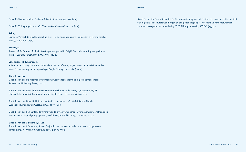Prins, C., Slaapwandelen, *Nederlands Juristenblad ,* 94, 23, 1653, (1 p.)

Prins, C., Veilingsregels voor 5G, *Nederlands Juristenblad,* 94, 1, 5, (1 p.)

#### **Reins, L.**

Reins, L., Vergeet de effectbeoordeling niet: Het beginsel van energiesolidariteit en leveringszekerheid, 7, 8, 193-199, (7 p.)

#### **Roosen, M.**

Roosen M. & Groenen A., Risicotaxatie partnergeweld in België: Ter ondersteuning van politie en justitie, *Cahiers politiestudies*, 2, 51, 87-110, (24 p.)

#### **Schellekens, M. & Leenes, R.**

Schemkes, F., Tjong Tjin Tai, E., Schellekens, M., Kaufmann, W., & Leenes, R., *Blockchain en het recht: Een verkenning van de reguleringsbehoefte*, Tilburg University, (137 p.)

#### **Sloot, B. van der**

Sloot, B. van der, De Algemene Verordening Gegevensbescherming in gewonemensentaal, Amsterdam University Press, (200 p.)

Sloot, B. van der, Noot bij Europees Hof voor Rechten van de Mens, 25 oktober 2018, 68 (Delecolle t. Frankrijk), European Human Rights Cases. 2019, 4, 209-212, (3 p.)

Sloot, B. van der, Noot bij Hof van Justitie EU, 2 oktober 2018, 18 (Ministerio Fiscal) European Human Rights Cases. 2019, 2, 55-57, (3 p.)

Sloot, B. van der, Een aantal dilemma's voor de privacywetenschap: Over neutraliteit, onafhankelijkheid en maatschappelijk engagement, *Nederlands Juristenblad 2019,* 2, 100-111, (12 p.)

#### **Sloot, B. van der & Schendel, S. van**

Sloot, B. van der & Schendel, S. van, De juridische randvoorwaarden voor een datagedreven samenleving, *Nederlands Juristenblad 2019,* 4, 2776, 3302

Sloot, B. van der, & van Schendel, S., De modernisering van het Nederlands procesrecht in het licht van big data: Procedurele waarborgen en een goede toegang tot het recht als randvoorwaarden voor een data-gedreven samenleving. TILT, Tilburg University, WODC, (259 p.)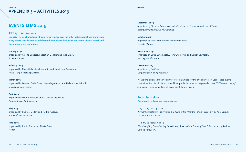### <span id="page-42-0"></span>**APPENDIX 3 – ACTIVITIES 2019 appendix3**

## **EVENTS LTMS 2019**

#### **TILT 25th Anniversary**

**In 2019, TILT celebrated its 25th anniversary with a year full of keynotes, workshops and events. Every month was devoted to a different theme. Please find below the theme of each month and the programming committee.**

#### **January 2019**

organized by Colette Cuijpers, Sebastian Dengler and Inge Graef. *Economic Power*

#### **February 2019**

organized by Maša Galič, Sascha van Schendel and Ivan Škorvanek. *Risk Scoring & Profiling Citizens*

#### **March 2019**

organized by Lorenzo Dalla Corte, Shazade Jameson and Hellen Mukiri-Smith. *Smart and Dumb Cities*

**April 2019**  organized by Martin Husovec and Maurice Schellekens. *Data and Ideas for Innovation*

**May 2019** organized by Raphael Gellert and Nadya Purtova. *Future of data protection*

**June 2019** organized by Robin Pierce and Tineke Broer. *Health*

#### **appendix 3**

#### **September 2019**

organized by Silvia de Conca, Aviva de Groot, Merel Noorman and Linnet Taylor. *Reconfiguring Human-AI relationships*

**October 2019**  organized by Anna Berti Suman and Leonie Reins. *Climate Change*

**November 2019** organized by Emre Bayamlıoğlu, Tom Chokrevski and Esther Keymolen. *Hacking the Electorate*

**December 2019** organized by Bo Zhao. *Conflicting laws and jurisdictions*

Please find below all the events that were organized for the  $25<sup>th</sup>$  anniversary year. These events are divided into: Book discussions, films, public lectures and keynote lectures. TILT started the 25<sup>th</sup> Anniversary year with a kick-off event on 18 January 2019.

**Book discussions Every month, a book has been discussed.**

8, 15, 22, 29 January 2019 '*Virtual Competition: The Promise and Perils of the Algorithm-Driven Economy'* by Ariel Ezrachi and Maurice E. Stucke.

5, 12, 19, 26 February 2019 *'The Rise of Big Data Policing: Surveillance, Race and the Future of Law Enforcement'* by Andrew Guthrie Ferguson.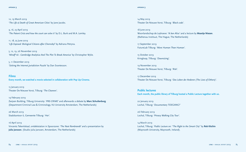12, 19 March 2019 '*The Life & Death of Great American Cities'* by Jane Jacobs.

9, 16, 23 April 2019 *'The Patent Crisis and how the court can solve it'* by D.L. Burk and M.A. Lemley.

11, 18, 25 June 2019 *'Life Exposed: Biological Citizens after Chernobyl'* by Adriana Petryna.

5, 12, 19, 26 November 2019 *'Mindf\*ck - Cambridge Analytica And The Plot To Break America'* by Christopher Wylie.

5, 11 December 2019 *'Solving the Internet Jurisdiction Puzzle'* by Dan Svantesson.

**Films Every month, we watched a movie selected in collaboration with Pop Up Cinema.**

15 January 2019 Theater De Nieuwe Vorst, Tilburg: *'The Cleaners'*.

19 February 2019 Zwijsen Building, Tilburg University*: 'PRE-CRIME'* and afterwards a debate by **Marc Schuilenburg**. (Department Criminal Law & Criminology, VU University Amsterdam, The Netherlands)

26 March 2019 Stadskantoor 6, Gemeente Tilburg: *'Her'.*

16 April 2019 Vincents Tekenlokaal, ontdekstation in Spoorzone: *'The Next Rembrandt'* and a presentation by **Julia Janssen**. (Studio Julia Janssen, Amsterdam, The Netherlands)

#### <span id="page-43-0"></span>**appendix 3 appendix 3**

14 May 2019 Theater De Nieuwe Vorst, Tilburg: *'Black code'*.

18 June 2019 Woonlandschap de Leyhoeve: *'Ik ben Alice'* and a lecture by **Maartje Niezen**. (Rathenau Instituut, The Hague, The Netherlands)

17 September 2019 FutureLab Tilburg: *'More Human Than Human'*.

15 October 2019 Kringloop, Tilburg: *'Downsizing'*.

19 November 2019 Theater De Nieuwe Vorst, Tilburg: *'Risk'*.

17 December 2019 Theater De Nieuwe Vorst, Tilburg: *'Das Leben der Anderen (The Lives of Others)'.*

**Public lectures Each month, the public library of Tilburg hosted a Public Lecture together with us.**

22 January 2019 Lochal, Tilburg: '*Documentary TOEGANG!'*

26 February 2019 Lochal, Tilburg: *'Privacy Walking City Tour'.*

14 March 2019 Lochal, Tilburg: *'Public Lecture on: "The Right to the Smart City"* by **Rob Kitchin**  (Maynooth University, Maynooth, Ireland).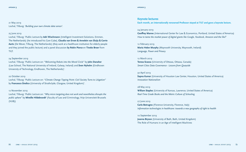<span id="page-44-0"></span>21 May 2019 Lochal, Tilburg: *'Building your own climate data sensor'.*

#### 25 June 2019

Lochal, Tilburg: 'Public Lecture by **Adri Wischmann** (Intelligent Investment Solutions, Emmen, The Netherlands) (he introduced his Care Cube), **Claudia van Erven & Annelein van Sluijs & Corrie Aarts** (De Wever, Tilburg, The Netherlands) (they work at a healthcare institution for elderly people and they joined the public lecture) and a panel discussion **by Robin Pierce** en **Tineke Broer** from TILT.

#### 24 September 2019

Lochal, Tilburg: 'Public Lecture on: "*Welcoming Robots into the Moral Circle"* by **John Danaher** (Law School, The National University of Ireland, Galway, Ireland) and **Sven Nyholm** (Eindhoven University of Technology, Eindhoven, The Netherlands)'.

#### 22 October 2019

Lochal, Tilburg: 'Public Lecture on: *"Climate Change Tipping Point: Civil Society Turns to Litigation"* by **Francesco Sindico** (University of Strathclyde, Glasgow, United Kingdom)'.

#### 12 November 2019

Lochal, Tilburg: 'Public Lecture on: *"Why micro targeting does not work and nevertheless disrupts the public sphere"* by **Mireille Hildebrandt'** (Faculty of Law and Criminology, Vrije Universiteit Brussels (VUB))

#### **Keynote lectures**

**Each month, an internationally renowned Professor stayed at TILT and gave a keynote lecture.**

#### 24 January 2019

**Geoffrey Manne** (International Center for Law & Economics, Portland, United States of America) *How to tame the market power of digital giants like Google, Facebook, Amazon and the like?*

#### 12 February 2019

**Maria Helen Murphy** (Maynooth University, Maynooth, Ireland) *Language, Power and Privacy* 

#### 12 March 2019

**Teresa Scassa** (University of Ottawa, Ottawa, Canada) *Smart Cities Data Governance - Lessons from Quayside*

#### 30 April 2019

**Sapna Kumar** (University of Houston Law Center, Houston, United States of America) *Innovation Nationalism* 

#### 28 May 2019

**William Staples** (University of Kansas, Lawrence, United States of America) *Real-Time Grade Books and the Metric Culture of Schooling* 

#### 27 June 2019

**Carlo Botrugno** (Florence University, Florence, Italy) *Information technologies in healthcare: towards a new geography of right to health* 

#### 10 September 2019

**Joanna Bryson** (University of Bath, Bath, United Kingdom) The Role of Humans in an Age of Intelligent Machines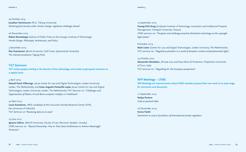#### 29 October 2019 **Jonathan Verschuuren** (PLG, Tilburg University) *Achieving food security under climate change: regulatory challenges ahead!*

#### 26 November 2019

**Robert Rosenberger** (School of Public Policy at the Georgia Institute of Technology) *Hostile Design: Philosophy, Architecture, and Policy*

#### 3 December 2019

**Dan Svantesson** (Bond University, Gold Coast, Queensland, Australia) *The Internet Jurisdiction Tipping Point*

#### **TILT Seminars**

**TILT invites people working in the domain of law, technology, and society to give guest seminars on a regular basis.**

#### 4 April 2019

**Eduard Fosch Villaronga**, (eLaw Center for Law and Digital Technologies, Leiden University, Leiden, The Netherlands) and **Cesar Augusto Fontanillo Lopez** (eLaw Center for Law and Digital Technologies, Leiden University, Leiden, The Netherlands) TILT Seminar on: *"Challenges and Opportunities of Robots, AI and Brain-computer Interface in Healthcare"*

#### 30 April 2019

**Laura Savolainen**, (PhD candidate at the Consumer Society Research Centre (KTK), the University of Helsinki) TILT Seminar on:"*Revaluing data as an asset"*

#### 19 June 2019

**Ignacio Cofone**, (McGill University, Faculty of Law, Montreal, Quebec, Canada) LTMS seminar on*: "Beyond Ownership: How to Treat Data Entitlements to Achieve Meaningful Protection"*

#### <span id="page-45-0"></span>**appendix 3 appendix 3**

#### 13 September 2019

**Huang-Chih Sung** (Graduate Institute of Technology, Innovation and Intellectual Property Management, Chengchi University, Taiwan) LTMS seminar on: *"Prospects and challenges posed by blockchain technology on the copyright legal system"*

#### 8 October 2019

**Mark Leiser** (Center for Law and Digital Technologies, Leiden University, The Netherlands) TILT seminar on: *"Regulatory pluralism in a world of deceptive content and fundamental rights"*

## 29 October 2019

**Alessandro Mantelero**, (Private Law and Data Ethics & Protection, Polytechnic University of Turin, Italy) TILT seminar on: "*Regulating AI: the European perspectives*"

#### **WIP Meetings – LTMS**

**WIP Meetings are internal events where LTMS members present their own work at an early stage, for comments and discussion.**

17 September 2019 **Nadya Purtova**  *Code as personal data* 

26 November 2019 **Enrico Partiti** *Dynamism as source of resilience of transnational private regulators*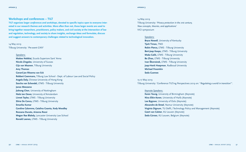### **Workshops and conferences – TILT**

**TILT organizes larger** *conferences and workshops***, devoted to specific topics open to everyone interested in our research themes and activities. More often than not, those larger events are used to bring together researchers, practitioners, policy makers, and civil society at the intersection of law and regulation, technology, and society to share insights, exchange ideas and formulate, discuss and suggest answers to contemporary challenges related to technological innovation.**

#### 14 May 2019 Tilburg University: '*Pre-event GIKII*'

#### Speakers:

**Matteo Nebbiai,** Scuola Superiore Sant' Anna **Nicolo Zingales**, University of Sussex **Gijs van Maanen**, Tilburg University **Amy Thomas Gerard Jan Ritsema van Eck Robbert Coenmans,** Tilburg Law School - Dept. of Labour Law and Social Policy **Angela Daly,** Chinese University of Hong Kong **Sascha van Schendel,** LTMS - Tilburg University **Janos Meszaros Jiahong Chen**, University of Nottingham **Niels ten Oever,** University of Amsterdam **Linnet Taylor,** LTMS - Tilburg University **Silvia De Conca,** LTMS - Tilburg University **Smarika Kumar Caroline Calomme, Catalina Goanta, Kody Moodley Rossana Ducato, Arianna Rossi Megan Rae Blakely,** Lancaster University Law School **Ronald Leenes,** LTMS - Tilburg University

#### <span id="page-46-0"></span>**appendix 3 appendix 3**

14 May 2019 Tilburg University: '*Privacy protection in the 21st century, New concepts, theories, and applications'*  VICI symposium

#### Speakers:

**Bryce Newell**, University of Kentucky **Tjerk Timan,** TNO **Robin Pierce,** LTMS - Tilburg University **Bert-Jaap Koops,** LTMS - Tilburg University **Maša Galič,** LTMS - Tilburg University **Bo Zhao,** LTMS - Tilburg University **Ivan Škorvánek,** LTMS - Tilburg University **Jaap-Henk Hoepman**, Radboud University **Michael Froomkin Seda Guerses**

#### 15-17 May 2019

Tilburg University: 'Conference TILTing Perspectives 2019 on: "*Regulating a world in transition*"'.

#### Keynote Speakers:

**Karen Yeung**, University of Birmingham (Keynote) **Niva Elkin-Koren**, University of Haifa (Keynote) **Lee Bygrave**, University of Oslo (Keynote) **Alexandre de Streel**, Namur University (Keynote) **Virginia Dignum**, TU Delft / Technology Policy and Management (Keynote) **Geert van Calster**, KU Leuven (Keynote) **Seda Gürses**, KU Leuven, Belgium (Keynote)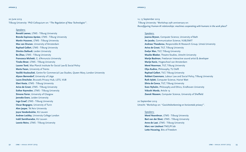#### 20 June 2019 Tilburg University: 'PhD Colloquium on: "*The Regulation of New Technologies*"'.

#### Speakers:

**Ronald Leenes**, LTMS - Tilburg University **Brenda Espinosa Apráez**, LTMS - Tilburg University **Martin Husovec**, LTMS - Tilburg University **Max van Drunen**, University of Amsterdam **Raphael Gellert**, LTMS - Tilburg University **Dimitra Stefoudi**, Leiden University **Bo Zhao**, LTMS - Tilburg University **Francesca Michetti**, G. d'Annunzio University **Tineke Broer**, LTMS - Tilburg University **Lauren Tonti**, Max Planck Institute for Social Law & Social Policy **Marta Fasan**, University of Trento **Vasiliki Koukoulioti**, Centre for Commercial Law Studies, Queen Mary, London University **Alyson Berrendorf**, University of Liège **Laura Drechsler**, Brussels Privacy Hub, LSTS, VUB **Eleni Kosta**, LTMS - Tilburg University **Aviva de Groot**, LTMS - Tilburg University **Esther Keymolen**, LTMS - Tilburg University **Simone Farrer**, University of Glasgow **Jenneke Evers**, Leiden University **Inge Graef**, LTMS - Tilburg University **Oscar Borgogno**, University of Turin **Alon Jasper**, Tel Aviv University **Joyce Vandenbulcke**, KU Leuven **Andrew Lockley**, University College London **Irakli Samkharadze**, KU Leuven **Leonie Reins**, LTMS - Tilburg University

12, 13 September 2019 Tilburg University: 'Workshop 25th anniversary on: *Reconfiguring Human-AI relationships: machines cooperating with humans in the work place?*

#### Speakers:

**Joanna Bryson**, Computer Science, University of Bath **An Jacobs**, Communication Science, VUB/SMIT **Andreas Theodorou**, Responsible AI Research Group, Umeå University **Aviva de Groot**, TILT, Tilburg University **Evelyn Wan**, TILT, Tilburg University **Maaike Bleeker**, Theatre Studies, Utrecht University **Marije Baalman**, Freelancer Interactive sound artist & developer **Marije Kanis**, Hogeschool van Amsterdam **Merel Noorman**, TILT, Tilburg University **Olya Kudino**, Philosophy, TU Delft **Raphael Gellert**, TILT, Tilburg University **Robbert Coenmans**, Labour Law and Social Policy, Tilburg University **Ruth Aylett**, Computer Science, Hariot Watt **Silvia de Conca**, TILT, Tilburg University **Sven Nyholm**, Philosophy and Ethics, Eindhoven University **Vidushi Marda**, Article 19 **Zeerak Waseem**, Computer Science, University of Sheffield

20 September 2019 Utrecht: 'Workshop on: "*Gezichtsherkenning en horizontale privacy*"'.

#### Speakers:

**Merel Noordman**, LTMS - Tilburg University **Bart van der Sloot**, LTMS - Tilburg University **Anne de Laat**, LTMS - Tilburg University **Marc van Lieshout** TNO/PI.lab **Lotte Houwing**, Bits of Freedom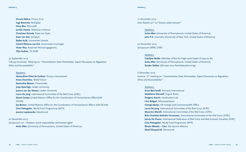**Vincent Böhre**, Privacy First **Inge Bremmer** NLDigital **Hans Bos**, Microsoft **Jurriën Hamer**, Rathenau Instituut **Christiaan Roorda**, Raad van State **Koen van Nol**, Schiphol **Stefan Kulk**, Universiteit Utrecht **Gerard Ritsema van Eck**, Universiteit Groningen **Victor Klos**, Autoriteit Persoonsgegevens **Olya Kudina**, TU Delft

#### 30 September 2019

Tilburg University: 'Meeting on: "*Humanitarian Data Partnerships: Expert Discussions on Regulation, Ethics and Accountability*"'.

#### Speakers:

**Alexandrine Pirlot de Corbion**, Privacy International **Amos Doornbos**, World Vision **Samantha Watson**, Flowminder **Josje Spierings**, Leiden University **Joanna van der Merwe**, Leiden University **Laura De Jong**, International Committee of the Red Cross (ICRC) **Stuart Campo**,United Nations Office for the Coordination of Humanitarian Affairs(UN OCHA) **Jos Berens**, United Nations Office for the Coordination of Humanitarian Affairs (UN OCHA) **Gina Pattugalan**, World Food Programme (WFP) **Joanna Lopatowska**, Mastercard

#### 20 November 2019

Symposium on: "*Freedom, moral responsibility, and human rights*" **Anita Allen** (University of Pennsylvania, United States of America)

#### **appendix 3 appendix 3**

21 November 2019 Dies Natalis 92nd on"*Science under pressure*"'.

#### Speakers:

**Anita Allen** (University of Pennsylvania, United States of America) **John P.A**. Ioannidis (University of New York, United States of America)

22 November 2019 Symposium WRR/ LTMS'.

#### Speakers:

**Catelijne Muller** (Member of the EU High Level Expert Group on AI) **Anita Allen** (University of Pennsylvania, United States of America) **Sander Dekker** (Minister voor Rechtsbescherming)

#### 6 December 2019

Geneva: '2nd meeting on: "*Humanitarian Data Partnerships: Expert Discussions on Regulation, Ethics and Accountability*"'.

#### Speakers:

**Anna Bacciarelli**, Amnesty International **Madeleine Maxwell**, Engine Room **Dragana Kaurin**, Localization Lab **Irina Bolgari**, Alliance4Impact **Georgia Banjo**, UK Foreign and Commonwealth Office **Laura De Jong**, International Committee of the Red Cross (ICRC) **Massimo Marelli**, International Committee of the Red Cross (ICRC) **Britt Charlotte Nathalie Huveneers**, International Committee of the Red Cross (ICRC) **James De France**, International Federation of Red Cross and Red Crescent Societies (IFRC) **Gina Pattugalan**, World Food Programme (WFP) **Bineta Mbacke – Gavi**, the Vaccine Alliance **Sherif Elsayed-Ali**, Element AI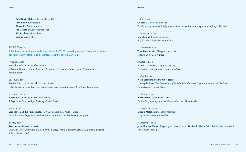<span id="page-49-0"></span>**Paul-Olivier Dehaye**, PersonalData.IO **Jean-Yves Art**, Microsoft **Alexandre Pinho**, Microsoft **Ilia Siatitsa**, Privacy International **Ain Aaviksoo**, Guardtime **Wouter Lueks**, EPFL

#### **TILEC Seminars**

**A Seminar is devoted to a specific topic within the TILEC research program. It is organized for the benefit of faculty members and other researchers at Tilburg University.**

17 January 2019

**Konrad Stahl**, University of Mannheim *Relational Contracts, Competition and Innovation: Theory and Evidence from German Car Manufacturers* 

30 January 2019 **Patricia Funk**, Universita della Svizzera Italiana *Policy Choices in Assembly versus Representative Democracy: Evidence from Swiss Communes*

6 February 2019 **Henry Hu**, University of Texas Law School *A Regulatory Framework for Exchange-Traded Funds*

3 April 2019 **Caio Mario da Silva Pereira Neto**, FGV Law School, São Paulo – Brazil *Towards a layered approach to relevant markets in multi-sided transaction platforms*

29 May 2019 **Assaf Kovo**, Hebrew University *Inferring Market Definitions and Competition Groups From Empirically-Estimated Demand Systems: A Practitioner's Guide*

12 June 2019

**Or Brook**, University of Leeds *Priority setting as a double-edged sword: how modernisation strengthens the role of public policy*

4 September 2019 **Jorge Lemus**, Illinois University *Pay-for-delay with Follow-on Products*

18 September 2019 **Theo Koutmeridis**, Glasgow University *Shaking Criminal Incentives*

2 October 2019 **Victoria Daskalova**, Twente University *Competition law in human resource markets*

#### 23 October 2019

**Pierre Larouche** and **Martin Husovec** *Making the Rules: The Governance of Standard Development Organizations and their Policies on Intellectual Property Rights*

30 October 2019 **Pinar Akman**, University of Leeds *Online Platforms, Agency, and Competition Law: Mind the Gap*

20 November 2019 **Evgenia Motchenkova**, VU Amsterdam *Mergers and Innovation Portfolios*

11 December 2019 **Josephine van Zeben**, Wageningen University and **Ana Bobic**, Hertie School of Governance, Berlin *Polycentriciy in the EU*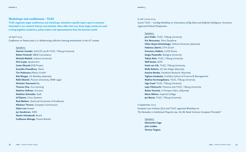#### <span id="page-50-0"></span>**Workshops and conferences - TILEC**

**TILEC organizes larger conferences and workshops, devoted to specific topics open to everyone interested in our research themes and activities. More often than not, those larger events are used to bring together academics, policy-makers and representatives from the business world.**

#### 26 April 2019

*Conference on Patent pools 2.0: Modernizing collective licensing mechanisms in the IoT context*

#### Speakers:

**Damien Geradin**, EUCLID Law & TILEC, Tilburg University **Robert Pocknell**, N&M Consultancy **Michael Mattioli**, Indiana University **Kirti Gupta**, Qualcomm **Carter Eltzroth**,DVB Project **Avantika Chowdhury**, Oxera **Tim Pohlmann**,IPlytics GmbH **Rob Merges**, UC Berkeley (Keynote) **Rafal Sikorski**, Poznan University, SMM Legal **Nicholas Townsend**,Sky **Thomas Chia**, Via Licensing **Mathias Hellman**, Ericsson **Matthias Schneider**, Audi **Ief Daems**, Cisco Systems **Rudi Bekkers**, Technical University of Eindhoven **Nikolaus Thumm**, European Commission **Dylan Lee, Huawei Jan Sandstrom**, NSN **Martin Heinebrodt**, Bosch **Guillaume Ménage**, France Brevets

#### 6 and 7 June 2019

*A joint TILEC – GovReg Workshop on Governance of Big Data and Artificial Intelligence: Economic, Legal and Political Perspectives*

#### Speakers:

**Jens Prüfer**, TILEC, Tilburg University **Eric Brousseau**, Paris Dauphine **Viktor Mayer-Schönberger**, Oxford University (Keynote) **Federica Liberini**, ETH Zürich **Francesco Sobbrio**, LUISS Rome **Sergio Pastorello**, Bologna University **Tobias Klein**, TILEC, Tilburg University **Wolf Sauter**, ACM **Freek van Gils**, TILEC, Tilburg University **Molly Roberts**, UC San Diego (Keynote) **Antoine Bordes**, Facebook Research (Keynote) **Yigitcan Karabulut**, Frankfurt School of Finance & Management **Madina Kurmangaliyeva**, TILEC, Tilburg University **Inge Graef**, TILEC, Tilburg University **Lapo Filistrucchi**, Florence and TILEC, Tilburg University **Ruben Durante**, U Pompeu Fabra, (Keynote) **Mario Milone**, Imperial College **Jan Boone**, TILEC, Tilburg University

#### 6 September 2019

*European Law Institute (ELI) and TILEC organised Workshop on: The Remedies in Intellectual Property Law: Do We Need Common European Principles?*

Speakers: **Alessandro Cogo John Golden Tomasz Targosz**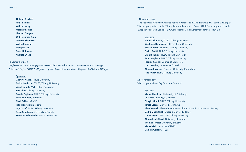**Thibault Gisclard Rafał Sikorski Willem Hoyng Martin Husovec Lisa van Dongen Orit Fischman-Afori Norman Siebrasse Vadym Semenov Matej Myska Franz Hofmann Andreas Wiebe**

#### 10 September 2019

*Conference on Data Sharing & Management of Critical Infrastructures: opportunities and challenges A Research Project LONGA VIA funded by the "Responsive Innovations" Program of NWO and NGInfra*

#### Speakers:

**Geert Vervaeke**, Tilburg University **Saskia Lavrijssen**, TILEC, Tilburg University **Wendy van der Valk**, Tilburg University **Tom Aben**, Tilburg University **Brenda Espinosa**, TILEC, Tilburg University **Ruud Berndsen**, Alliander **Chiel Bakker**, VEMW **Rian Kloosterman**, Vitens **Inge Graef**, TILEC, Tilburg University **Fredo Schotanus**, University of Twente **Robert van der Linden**, Port of Rotterdam

#### 5 November 2019

*"The Resilience of Private Collective Action in Finance and Manufacturing: Theoretical Challenges"* Workshop organised by the Tilburg Law and Economics Center (TILEC) and supported by the European Research Council (ERC Consolidator Grant Agreement 725798 – REVEAL)

#### Speakers:

**Panos Delimatsis**, TILEC, Tilburg University **Stephanie Bijlmakers**, TILEC, Tilburg University **Konrad Borowicz**, TILEC, Tilburg University **Enrico Partiti**, TILEC, Tilburg University **Shanya Ruhela**, TILEC, Tilburg University **Zuno Verghese**, TILEC, Tilburg University **Fabrizio Cafaggi**, Council of State, Italy **Linda Senden**, University of Utrecht **Alessandra Arcuri**, Erasmus University, Rotterdam **Jens Prüfer**, TILEC, Tilburg University

## 22 November 2019

Workshop on *'Governing Data as a Resource'*

#### Speakers:

**Michael Madison,** University of Pittsburgh **Charlotte Ducuing,** KU Leuven **Giorgio Monti**, TILEC, Tilburg University **Teresa Scassa**, University of Ottawa **Alina Wernick**, Alexander von Humboldt Institute for Internet and Society **Daithí Mac Síthigh**, Queen's University Belfast **Linnet Taylor**, LTMS TILT, Tilburg University **Alexandre de Streel**, University of Namur **Thomas Tombal**, University of Namur **Michal Gal**, University of Haifa **Damien Geradin**, TILEC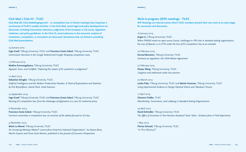#### <span id="page-52-0"></span>**Club Med / Club IO - TILEC**

**Club Med (for Club Mededingingsrecht – or competition law, in Dutch) meetings have long been a cornerstone of TILEC's weekly activities. In the Club Med, recent legal and policy developments are discussed, including Commission decisions, judgments of the European or US courts, legislative initiatives, and policy guidelines. In the Club IO, recent advances in the economic analysis of institutions, competition, or innovation are discussed. Sometimes they are linked to preceding Club Med presentations.**

#### 23 January 2019

**Inge Graef**, Tilburg University, TILEC and **Francisco Costa Cabral**, Tilburg University, TILEC *Commission Decisions in the Google Android and Google Shopping competition cases*

#### 13 February 2019

**Madina Kurmangaliyeva**, Tilburg University, TILEC *Agrawal, Gans, and Goldfarb "Exploring the impact of AI: prediction vs judgement"* 

#### 10 April 2019

**Sebastian Dengler**, Tilburg University, TILEC *Artificial Intelligence and the Modern Productivity Paradox: A Clash of Expectations and Statistics by Erik Brynjolfsson, Daniel Rock, Chad Syverson*

#### 25 September 2019

**Inge Graef**, Tilburg University, TILEC and **Francisco Costa Cabral**, Tilburg University, TILEC *Revising EU competition law: from the challenges of digitisation to a new EU industrial policy*

6 November 2019 **Francisco Costa Cabral**, Tilburg University, TILEC *Common ownership in competition law, an overview of the debate focused on EU law.* 

4 December 2019 **Marie Le Mouel**, Tilburg University, TILEC *Do Increasing Markups Matter? Lessons from Empirical Industrial Organization", by Steven Berry, Martin Gaynor and Fiona Scott Morton, published in the Journal of Economic Perspectives*

#### **Work-in-progress (WIP) meetings - TILEC**

**WIP Meetings are internal events where TILEC members present their own work at an early stage, for comments and discussion.**

#### 16 January 2019

**Jingze Li, Tilburg University, TILEC** *When FRAND meets an open source license: challenges to IPR rules in standard setting organizations the case of Apache v.2 in ETSI under the lens of EU competition law as an example*

#### 20 February 2019

**Konrad Borowicz**, Tilburg University, TILEC *Contracts as regulation: the ISDA Master Agreement*

27 February 2019 **Xiaoyu Wang**, Tilburg University, TILEC *Litigation and settlement under loss aversion*

#### 20 March 2019

**Lenka Fiala**, Tilburg University, TILEC and **Martin Husovec**, Tilburg University, TILEC *Using Experimental Evidence to Design Optimal Notice and Takedown Process* 

17 April 2019 **Clemens Fiedler**, TILEC *Membership, Governance, and Lobbying in Standard Setting Organizations*

24 April 2019 **David Schindler**, Tilburg University, TILEC *The Effect of Incentives in Non-Routine Analytical Team Tasks—Evidence from a Field Experiment*

1 May 2019 **Florian Schuett**, Tilburg University, TILEC "Is This Obvious?"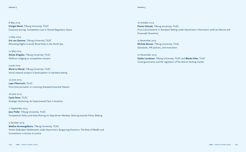8 May 2019 **Giorgio Monti**, Tilburg University, TILEC Excessive pricing: Competition Law in Shared Regulatory Space

15 May 2019 **Eric van Damme**, Tilburg University, TILEC Allocating Rights to build Wind Parks in the North Sea

22 May 2019 **Nicolo Zingales**, Tilburg University, TILEC Platform nudging as competition concern

5 June 2019 **Marie Le Mouel**, Tilburg University, TILEC Social network analysis of participation in standard setting

19 June 2019 **Lapo Filistrucchi**, TILEC Price Discrimination in Licensing Standard Essential Patents

26 June 2019 **Gyula Seres**, TILEC Strategic Anchoring: An Experimental Test in Auctions

11 September 2019 **Jens Prüfer, Tilburg University, TILEC** Competition Policy and Data Sharing on Data-driven Markets: Moving towards Policy Making

9 October 2019 **Madina Kurmangaliyeva**, Tilburg University, TILEC Victim-Defendant Settlements under Asymmetric Bargaining Positions: The Role of Wealth and Connections in Access to Justice

#### **appendix 3 appendix 3**

16 October 2019 **Florian Schuett**, Tilburg University, TILEC Price Commitments in Standard Setting under Asymmetric Information (with Jan Boone and Emanuele Tarantino)

13 November 2019 **Michela Bonani**, Tilburg University, TILEC Standards, IPR policies, and innovation

27 November 2019 **Saskia Lavrijssen**, Tilburg University, TILEC and **Blanka Vitez**, TILEC Good governance and the regulation of the district heating market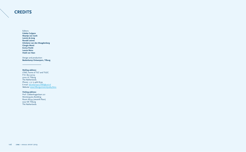### <span id="page-54-0"></span>**CREDITS**

Editors:

**Colette Cuijpers Maartje van Genk Leonie de Jong Ronald Leenes Ghislaine van den Maagdenberg Giorgio Monti Enrico Partiti Leonie Reins Heidi van Veen**

Design and production: **Beelenkamp Ontwerpers, Tilburg**

#### **Mailing address:**

LTMS, home of TILT and TILEC P.O. Box 90153 5000 LE Tilburg The Netherlands Phone: + 31 13 466 8199 E-mail: Secretariaat.LTMS@uvt.nl Website: www.tilburguniversity.edu/ltms

#### **Visiting address:**

Prof. Cobbenhagenlaan 221 Montesquieu Building Room M734 (seventh floor) 5037 DE Tilburg The Netherlands